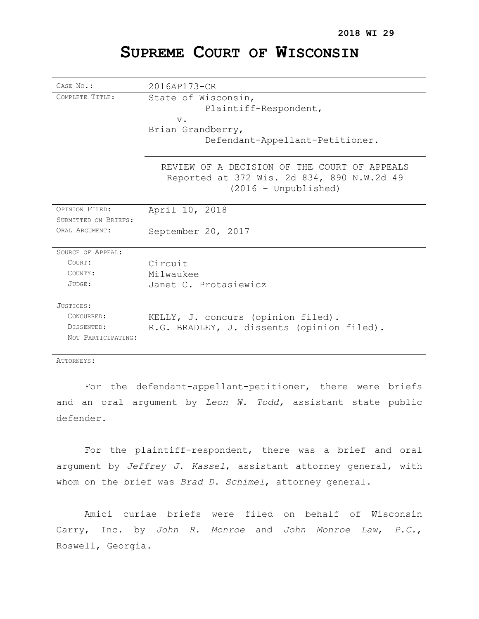# **SUPREME COURT OF WISCONSIN**

| CASE No.:            | 2016AP173-CR                                                                                                         |
|----------------------|----------------------------------------------------------------------------------------------------------------------|
| COMPLETE TITLE:      | State of Wisconsin,<br>Plaintiff-Respondent,<br>$V$ .<br>Brian Grandberry,<br>Defendant-Appellant-Petitioner.        |
|                      | REVIEW OF A DECISION OF THE COURT OF APPEALS<br>Reported at 372 Wis. 2d 834, 890 N.W.2d 49<br>$(2016 - Unpublished)$ |
| OPINION FILED:       | April 10, 2018                                                                                                       |
| SUBMITTED ON BRIEFS: |                                                                                                                      |
| ORAT, ARGUMENT:      | September 20, 2017                                                                                                   |
| SOURCE OF APPEAL:    |                                                                                                                      |
| COURT:               | Circuit                                                                                                              |
| COUNTY:              | Milwaukee                                                                                                            |
| JUDGE:               | Janet C. Protasiewicz                                                                                                |
| JUSTICES:            |                                                                                                                      |
| CONCURRED:           | KELLY, J. concurs (opinion filed).                                                                                   |
| DISSENTED:           | R.G. BRADLEY, J. dissents (opinion filed).                                                                           |
| NOT PARTICIPATING:   |                                                                                                                      |

ATTORNEYS:

For the defendant-appellant-petitioner, there were briefs and an oral argument by *Leon W. Todd,* assistant state public defender.

For the plaintiff-respondent, there was a brief and oral argument by *Jeffrey J. Kassel*, assistant attorney general, with whom on the brief was *Brad D. Schimel*, attorney general.

Amici curiae briefs were filed on behalf of Wisconsin Carry, Inc. by *John R. Monroe* and *John Monroe Law*, *P.C.*, Roswell, Georgia.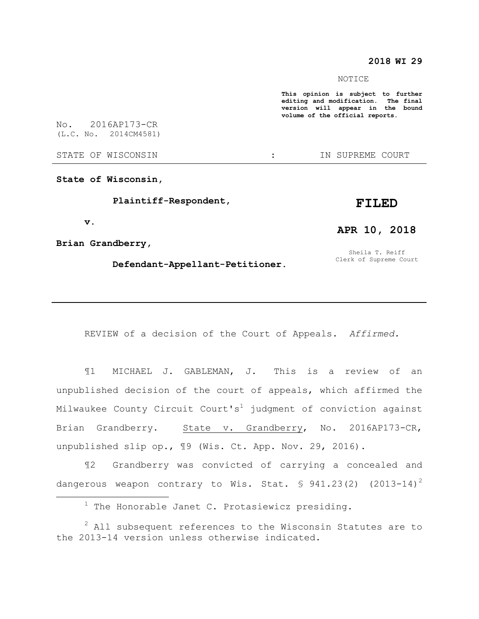# **2018 WI 29**

#### NOTICE

**This opinion is subject to further editing and modification. The final version will appear in the bound volume of the official reports.** 

No. 2016AP173-CR (L.C. No. 2014CM4581)

STATE OF WISCONSIN THE STATE OF WISCONSIN THE STATE OF STATE OF STATE OF STATE OF STATE OF STATE OF STATE OF STATE OF STATE OF STATE OF STATE OF STATE OF STATE OF STATE OF STATE OF STATE OF STATE OF STATE OF STATE OF STATE

**State of Wisconsin,**

 **Plaintiff-Respondent,**

#### **v.**

 $\overline{a}$ 

**APR 10, 2018**

**FILED**

**Brian Grandberry,**

 **Defendant-Appellant-Petitioner.**

Sheila T. Reiff Clerk of Supreme Court

REVIEW of a decision of the Court of Appeals. *Affirmed.*

¶1 MICHAEL J. GABLEMAN, J. This is a review of an unpublished decision of the court of appeals, which affirmed the Milwaukee County Circuit Court's<sup>1</sup> judgment of conviction against Brian Grandberry. State v. Grandberry, No. 2016AP173-CR, unpublished slip op., ¶9 (Wis. Ct. App. Nov. 29, 2016).

¶2 Grandberry was convicted of carrying a concealed and dangerous weapon contrary to Wis. Stat.  $\frac{1}{2}$  941.23(2) (2013-14)<sup>2</sup>

 $1$  The Honorable Janet C. Protasiewicz presiding.

 $2$  All subsequent references to the Wisconsin Statutes are to the 2013-14 version unless otherwise indicated.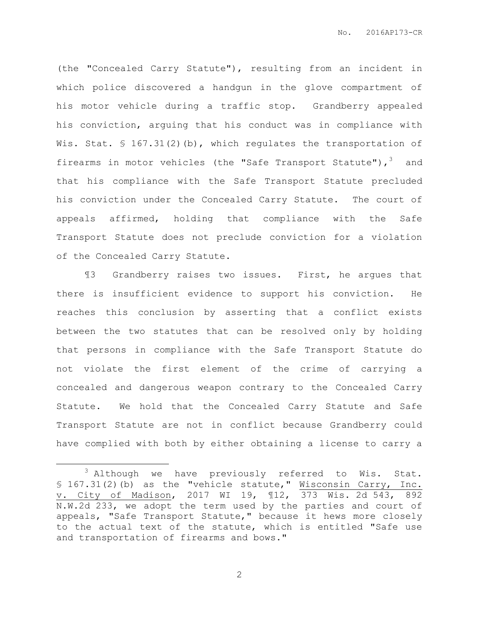(the "Concealed Carry Statute"), resulting from an incident in which police discovered a handgun in the glove compartment of his motor vehicle during a traffic stop. Grandberry appealed his conviction, arguing that his conduct was in compliance with Wis. Stat.  $\frac{167.31(2)}{b}$ , which regulates the transportation of firearms in motor vehicles (the "Safe Transport Statute"), 3 and that his compliance with the Safe Transport Statute precluded his conviction under the Concealed Carry Statute. The court of appeals affirmed, holding that compliance with the Safe Transport Statute does not preclude conviction for a violation of the Concealed Carry Statute.

¶3 Grandberry raises two issues. First, he argues that there is insufficient evidence to support his conviction. He reaches this conclusion by asserting that a conflict exists between the two statutes that can be resolved only by holding that persons in compliance with the Safe Transport Statute do not violate the first element of the crime of carrying a concealed and dangerous weapon contrary to the Concealed Carry Statute. We hold that the Concealed Carry Statute and Safe Transport Statute are not in conflict because Grandberry could have complied with both by either obtaining a license to carry a

 $\overline{a}$ 

 $3$  Although we have previously referred to Wis. Stat. § 167.31(2)(b) as the "vehicle statute," Wisconsin Carry, Inc. v. City of Madison, 2017 WI 19, ¶12, 373 Wis. 2d 543, 892 N.W.2d 233, we adopt the term used by the parties and court of appeals, "Safe Transport Statute," because it hews more closely to the actual text of the statute, which is entitled "Safe use and transportation of firearms and bows."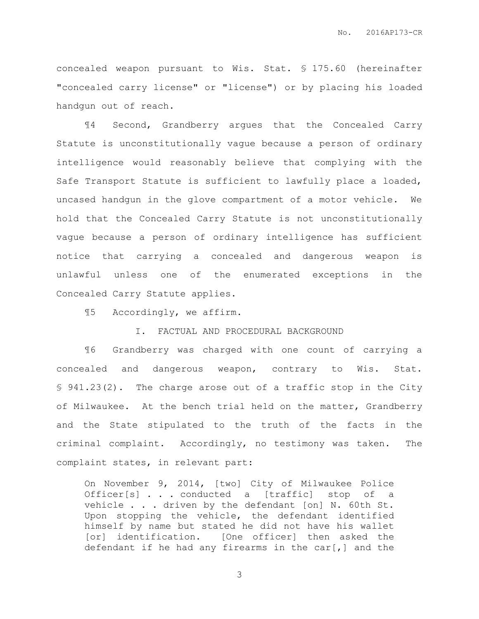concealed weapon pursuant to Wis. Stat. § 175.60 (hereinafter "concealed carry license" or "license") or by placing his loaded handgun out of reach.

¶4 Second, Grandberry argues that the Concealed Carry Statute is unconstitutionally vague because a person of ordinary intelligence would reasonably believe that complying with the Safe Transport Statute is sufficient to lawfully place a loaded, uncased handgun in the glove compartment of a motor vehicle. We hold that the Concealed Carry Statute is not unconstitutionally vague because a person of ordinary intelligence has sufficient notice that carrying a concealed and dangerous weapon is unlawful unless one of the enumerated exceptions in the Concealed Carry Statute applies.

¶5 Accordingly, we affirm.

I. FACTUAL AND PROCEDURAL BACKGROUND

¶6 Grandberry was charged with one count of carrying a concealed and dangerous weapon, contrary to Wis. Stat. § 941.23(2). The charge arose out of a traffic stop in the City of Milwaukee. At the bench trial held on the matter, Grandberry and the State stipulated to the truth of the facts in the criminal complaint. Accordingly, no testimony was taken. The complaint states, in relevant part:

On November 9, 2014, [two] City of Milwaukee Police Officer[s] . . . conducted a [traffic] stop of a vehicle . . . driven by the defendant [on] N. 60th St. Upon stopping the vehicle, the defendant identified himself by name but stated he did not have his wallet [or] identification. [One officer] then asked the defendant if he had any firearms in the car[,] and the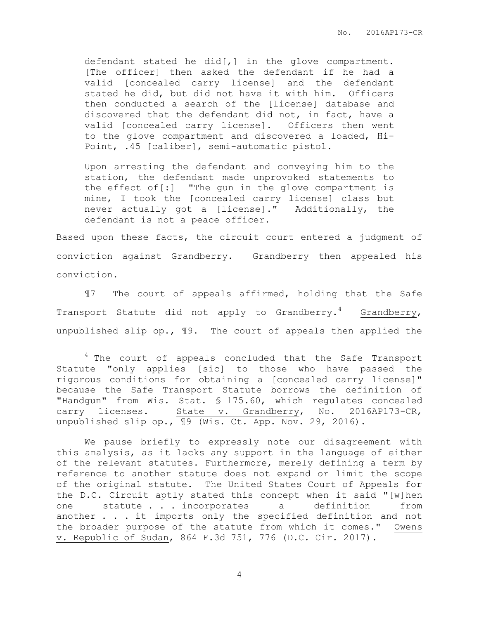defendant stated he did[,] in the glove compartment. [The officer] then asked the defendant if he had a valid [concealed carry license] and the defendant stated he did, but did not have it with him. Officers then conducted a search of the [license] database and discovered that the defendant did not, in fact, have a valid [concealed carry license]. Officers then went to the glove compartment and discovered a loaded, Hi-Point, .45 [caliber], semi-automatic pistol.

Upon arresting the defendant and conveying him to the station, the defendant made unprovoked statements to the effect of[:] "The gun in the glove compartment is mine, I took the [concealed carry license] class but never actually got a [license]." Additionally, the defendant is not a peace officer.

Based upon these facts, the circuit court entered a judgment of conviction against Grandberry. Grandberry then appealed his conviction.

¶7 The court of appeals affirmed, holding that the Safe Transport Statute did not apply to Grandberry.<sup>4</sup> Grandberry, unpublished slip op., ¶9. The court of appeals then applied the

 $\overline{a}$ 

We pause briefly to expressly note our disagreement with this analysis, as it lacks any support in the language of either of the relevant statutes. Furthermore, merely defining a term by reference to another statute does not expand or limit the scope of the original statute. The United States Court of Appeals for the D.C. Circuit aptly stated this concept when it said "[w]hen one statute . . . incorporates a definition from another . . . it imports only the specified definition and not the broader purpose of the statute from which it comes." Owens v. Republic of Sudan, 864 F.3d 751, 776 (D.C. Cir. 2017).

<sup>&</sup>lt;sup>4</sup> The court of appeals concluded that the Safe Transport Statute "only applies [sic] to those who have passed the rigorous conditions for obtaining a [concealed carry license]" because the Safe Transport Statute borrows the definition of "Handgun" from Wis. Stat. § 175.60, which regulates concealed carry licenses. State v. Grandberry, No. 2016AP173-CR, unpublished slip op.,  $\boxed{9}$  (Wis. Ct. App. Nov. 29, 2016).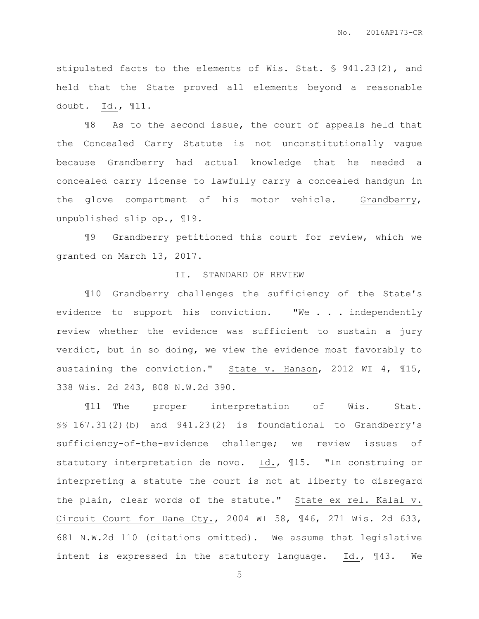stipulated facts to the elements of Wis. Stat. § 941.23(2), and held that the State proved all elements beyond a reasonable doubt. Id., ¶11.

¶8 As to the second issue, the court of appeals held that the Concealed Carry Statute is not unconstitutionally vague because Grandberry had actual knowledge that he needed a concealed carry license to lawfully carry a concealed handgun in the glove compartment of his motor vehicle. Grandberry, unpublished slip op., ¶19.

¶9 Grandberry petitioned this court for review, which we granted on March 13, 2017.

## II. STANDARD OF REVIEW

¶10 Grandberry challenges the sufficiency of the State's evidence to support his conviction. "We . . . independently review whether the evidence was sufficient to sustain a jury verdict, but in so doing, we view the evidence most favorably to sustaining the conviction." State v. Hanson, 2012 WI 4, ¶15, 338 Wis. 2d 243, 808 N.W.2d 390.

¶11 The proper interpretation of Wis. Stat. §§ 167.31(2)(b) and 941.23(2) is foundational to Grandberry's sufficiency-of-the-evidence challenge; we review issues of statutory interpretation de novo. Id., ¶15. "In construing or interpreting a statute the court is not at liberty to disregard the plain, clear words of the statute." State ex rel. Kalal v. Circuit Court for Dane Cty., 2004 WI 58, ¶46, 271 Wis. 2d 633, 681 N.W.2d 110 (citations omitted). We assume that legislative intent is expressed in the statutory language. Id., ¶43. We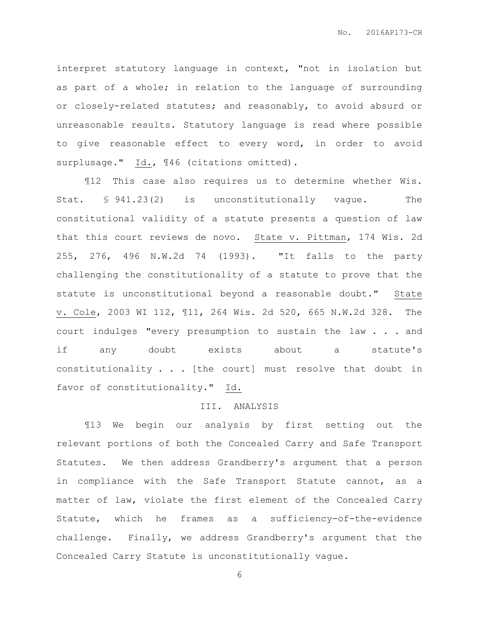interpret statutory language in context, "not in isolation but as part of a whole; in relation to the language of surrounding or closely-related statutes; and reasonably, to avoid absurd or unreasonable results. Statutory language is read where possible to give reasonable effect to every word, in order to avoid surplusage." Id., 146 (citations omitted).

¶12 This case also requires us to determine whether Wis. Stat. § 941.23(2) is unconstitutionally vague. The constitutional validity of a statute presents a question of law that this court reviews de novo. State v. Pittman, 174 Wis. 2d 255, 276, 496 N.W.2d 74 (1993). "It falls to the party challenging the constitutionality of a statute to prove that the statute is unconstitutional beyond a reasonable doubt." State v. Cole, 2003 WI 112, ¶11, 264 Wis. 2d 520, 665 N.W.2d 328. The court indulges "every presumption to sustain the law . . . and if any doubt exists about a statute's constitutionality . . . [the court] must resolve that doubt in favor of constitutionality." Id.

#### III. ANALYSIS

¶13 We begin our analysis by first setting out the relevant portions of both the Concealed Carry and Safe Transport Statutes. We then address Grandberry's argument that a person in compliance with the Safe Transport Statute cannot, as a matter of law, violate the first element of the Concealed Carry Statute, which he frames as a sufficiency-of-the-evidence challenge. Finally, we address Grandberry's argument that the Concealed Carry Statute is unconstitutionally vague.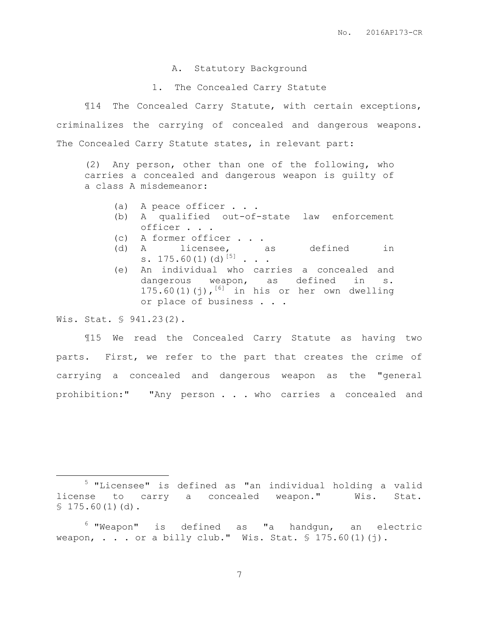## A. Statutory Background

1. The Concealed Carry Statute

¶14 The Concealed Carry Statute, with certain exceptions, criminalizes the carrying of concealed and dangerous weapons. The Concealed Carry Statute states, in relevant part:

(2) Any person, other than one of the following, who carries a concealed and dangerous weapon is guilty of a class A misdemeanor:

- (a) A peace officer . . .
- (b) A qualified out-of-state law enforcement officer . . .
- (c) A former officer . . .
- (d) A licensee, as defined in s.  $175.60(1)(d)^{5}$  . . .
- (e) An individual who carries a concealed and dangerous weapon, as defined in s. 175.60(1)(j), $^{[6]}$  in his or her own dwelling or place of business . . .

Wis. Stat. § 941.23(2).

 $\overline{a}$ 

¶15 We read the Concealed Carry Statute as having two parts. First, we refer to the part that creates the crime of carrying a concealed and dangerous weapon as the "general prohibition:" "Any person . . . who carries a concealed and

<sup>5</sup> "Licensee" is defined as "an individual holding a valid license to carry a concealed weapon." Wis. Stat.  $$175.60(1)(d).$ 

<sup>6</sup> "Weapon" is defined as "a handgun, an electric weapon, . . . or a billy club." Wis. Stat.  $$ 175.60(1)(i)$ .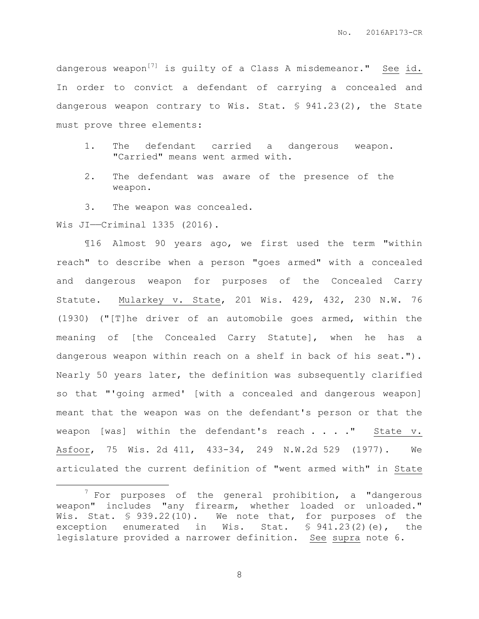dangerous weapon<sup>[7]</sup> is guilty of a Class A misdemeanor." See id. In order to convict a defendant of carrying a concealed and dangerous weapon contrary to Wis. Stat. § 941.23(2), the State must prove three elements:

- 1. The defendant carried a dangerous weapon. "Carried" means went armed with.
- 2. The defendant was aware of the presence of the weapon.

3. The weapon was concealed. Wis JI——Criminal 1335 (2016).

 $\overline{a}$ 

¶16 Almost 90 years ago, we first used the term "within reach" to describe when a person "goes armed" with a concealed and dangerous weapon for purposes of the Concealed Carry Statute. Mularkey v. State, 201 Wis. 429, 432, 230 N.W. 76 (1930) ("[T]he driver of an automobile goes armed, within the meaning of [the Concealed Carry Statute], when he has a dangerous weapon within reach on a shelf in back of his seat."). Nearly 50 years later, the definition was subsequently clarified so that "'going armed' [with a concealed and dangerous weapon] meant that the weapon was on the defendant's person or that the weapon [was] within the defendant's reach . . . . " State v. Asfoor, 75 Wis. 2d 411, 433-34, 249 N.W.2d 529 (1977). We articulated the current definition of "went armed with" in State

 $7$  For purposes of the general prohibition, a "dangerous weapon" includes "any firearm, whether loaded or unloaded." Wis. Stat. § 939.22(10). We note that, for purposes of the exception enumerated in Wis. Stat. § 941.23(2)(e), the legislature provided a narrower definition. See supra note 6.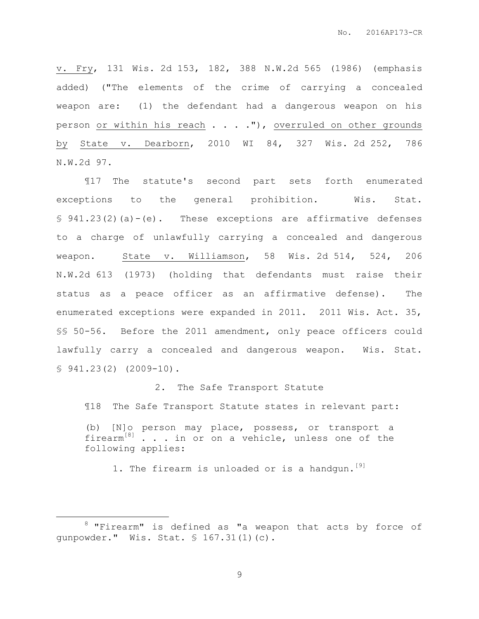v. Fry, 131 Wis. 2d 153, 182, 388 N.W.2d 565 (1986) (emphasis added) ("The elements of the crime of carrying a concealed weapon are: (1) the defendant had a dangerous weapon on his person or within his reach . . . . "), overruled on other grounds by State v. Dearborn, 2010 WI 84, 327 Wis. 2d 252, 786 N.W.2d 97.

¶17 The statute's second part sets forth enumerated exceptions to the general prohibition. Wis. Stat. § 941.23(2)(a)-(e). These exceptions are affirmative defenses to a charge of unlawfully carrying a concealed and dangerous weapon. State v. Williamson, 58 Wis. 2d 514, 524, 206 N.W.2d 613 (1973) (holding that defendants must raise their status as a peace officer as an affirmative defense). The enumerated exceptions were expanded in 2011. 2011 Wis. Act. 35, §§ 50-56. Before the 2011 amendment, only peace officers could lawfully carry a concealed and dangerous weapon. Wis. Stat.  $$941.23(2)$   $(2009-10)$ .

2. The Safe Transport Statute

¶18 The Safe Transport Statute states in relevant part:

(b) [N]o person may place, possess, or transport a firearm<sup>[8]</sup> . . in or on a vehicle, unless one of the following applies:

1. The firearm is unloaded or is a handgun.<sup>[9]</sup>

 $\overline{a}$ 

 $8$  "Firearm" is defined as "a weapon that acts by force of gunpowder." Wis. Stat. § 167.31(1)(c).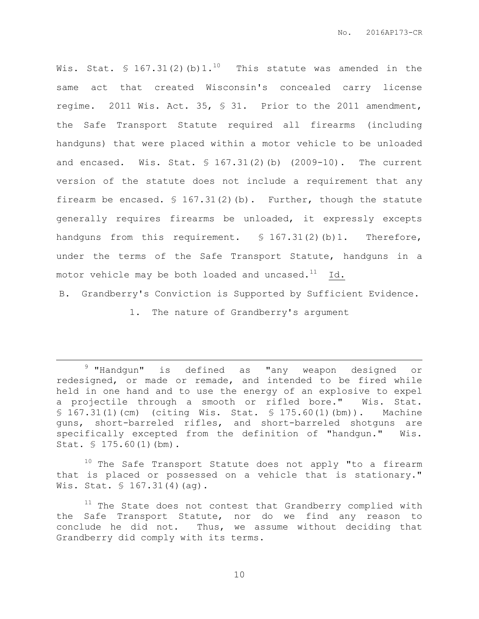Wis. Stat.  $\$ 167.31(2) (b) 1.^{10}$  This statute was amended in the same act that created Wisconsin's concealed carry license regime. 2011 Wis. Act. 35, § 31. Prior to the 2011 amendment, the Safe Transport Statute required all firearms (including handguns) that were placed within a motor vehicle to be unloaded and encased. Wis. Stat.  $$167.31(2)$  (b)  $(2009-10)$ . The current version of the statute does not include a requirement that any firearm be encased.  $\frac{1}{5}$  167.31(2)(b). Further, though the statute generally requires firearms be unloaded, it expressly excepts handguns from this requirement. § 167.31(2)(b)1. Therefore, under the terms of the Safe Transport Statute, handguns in a motor vehicle may be both loaded and uncased. $^{11}$  Id.

B. Grandberry's Conviction is Supported by Sufficient Evidence.

1. The nature of Grandberry's argument

 $\overline{a}$ 

<sup>9</sup> "Handqun" is defined as "any weapon designed or redesigned, or made or remade, and intended to be fired while held in one hand and to use the energy of an explosive to expel a projectile through a smooth or rifled bore." Wis. Stat. § 167.31(1)(cm) (citing Wis. Stat. § 175.60(1)(bm)). Machine guns, short-barreled rifles, and short-barreled shotguns are specifically excepted from the definition of "handgun." Wis. Stat. § 175.60(1)(bm).

 $10$  The Safe Transport Statute does not apply "to a firearm that is placed or possessed on a vehicle that is stationary." Wis. Stat. § 167.31(4)(ag).

 $11$  The State does not contest that Grandberry complied with the Safe Transport Statute, nor do we find any reason to conclude he did not. Thus, we assume without deciding that Grandberry did comply with its terms.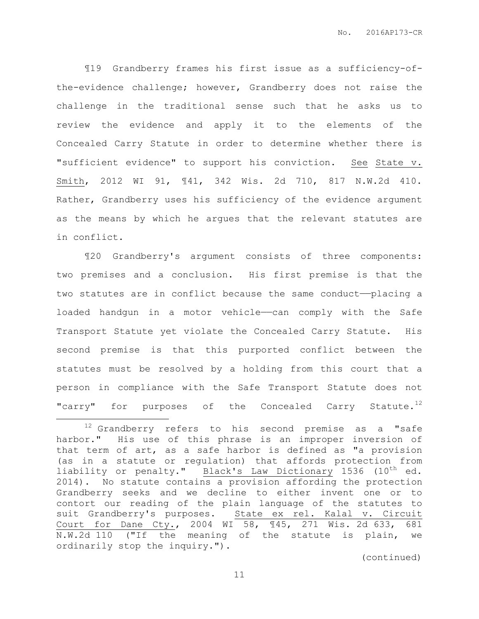¶19 Grandberry frames his first issue as a sufficiency-ofthe-evidence challenge; however, Grandberry does not raise the challenge in the traditional sense such that he asks us to review the evidence and apply it to the elements of the Concealed Carry Statute in order to determine whether there is "sufficient evidence" to support his conviction. See State v. Smith, 2012 WI 91, ¶41, 342 Wis. 2d 710, 817 N.W.2d 410. Rather, Grandberry uses his sufficiency of the evidence argument as the means by which he argues that the relevant statutes are in conflict.

¶20 Grandberry's argument consists of three components: two premises and a conclusion. His first premise is that the two statutes are in conflict because the same conduct-placing a loaded handgun in a motor vehicle—can comply with the Safe Transport Statute yet violate the Concealed Carry Statute. His second premise is that this purported conflict between the statutes must be resolved by a holding from this court that a person in compliance with the Safe Transport Statute does not "carry" for purposes of the Concealed Carry Statute.<sup>12</sup>

 $\overline{a}$ 

 $12$  Grandberry refers to his second premise as a "safe harbor." His use of this phrase is an improper inversion of that term of art, as a safe harbor is defined as "a provision (as in a statute or regulation) that affords protection from liability or penalty." Black's Law Dictionary 1536 (10<sup>th</sup> ed. 2014). No statute contains a provision affording the protection Grandberry seeks and we decline to either invent one or to contort our reading of the plain language of the statutes to suit Grandberry's purposes. State ex rel. Kalal v. Circuit Court for Dane Cty., 2004 WI 58, ¶45, 271 Wis. 2d 633, 681 N.W.2d 110 ("If the meaning of the statute is plain, we ordinarily stop the inquiry.").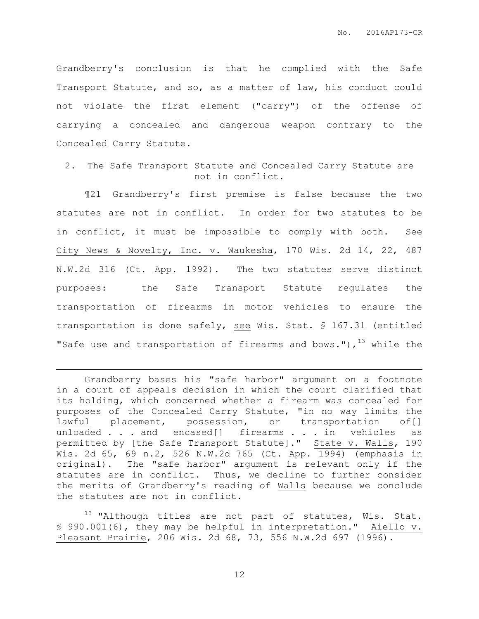Grandberry's conclusion is that he complied with the Safe Transport Statute, and so, as a matter of law, his conduct could not violate the first element ("carry") of the offense of carrying a concealed and dangerous weapon contrary to the Concealed Carry Statute.

2. The Safe Transport Statute and Concealed Carry Statute are not in conflict.

¶21 Grandberry's first premise is false because the two statutes are not in conflict. In order for two statutes to be in conflict, it must be impossible to comply with both. See City News & Novelty, Inc. v. Waukesha, 170 Wis. 2d 14, 22, 487 N.W.2d 316 (Ct. App. 1992). The two statutes serve distinct purposes: the Safe Transport Statute regulates the transportation of firearms in motor vehicles to ensure the transportation is done safely, see Wis. Stat. § 167.31 (entitled "Safe use and transportation of firearms and bows."),  $^{13}$  while the

Grandberry bases his "safe harbor" argument on a footnote in a court of appeals decision in which the court clarified that its holding, which concerned whether a firearm was concealed for purposes of the Concealed Carry Statute, "in no way limits the lawful placement, possession, or transportation of[] unloaded . . . and encased[] firearms . . . in vehicles as permitted by [the Safe Transport Statute]." State v. Walls, 190 Wis. 2d 65, 69 n.2, 526 N.W.2d 765 (Ct. App. 1994) (emphasis in original). The "safe harbor" argument is relevant only if the statutes are in conflict. Thus, we decline to further consider the merits of Grandberry's reading of Walls because we conclude the statutes are not in conflict.

 $\overline{a}$ 

 $13$  "Although titles are not part of statutes, Wis. Stat. § 990.001(6), they may be helpful in interpretation." Aiello v. Pleasant Prairie, 206 Wis. 2d 68, 73, 556 N.W.2d 697 (1996).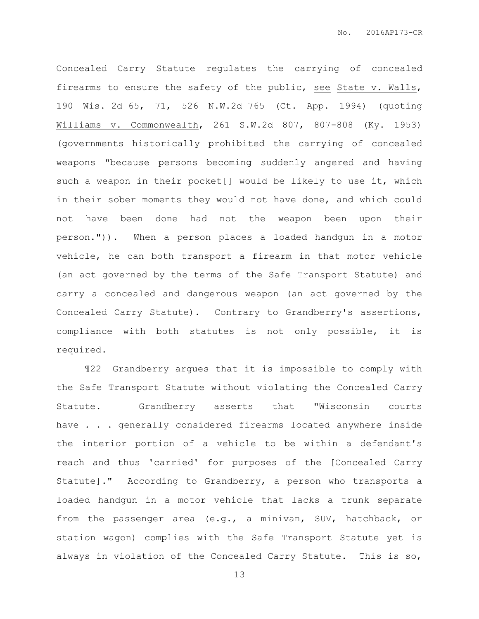Concealed Carry Statute regulates the carrying of concealed firearms to ensure the safety of the public, see State v. Walls, 190 Wis. 2d 65, 71, 526 N.W.2d 765 (Ct. App. 1994) (quoting Williams v. Commonwealth, 261 S.W.2d 807, 807-808 (Ky. 1953) (governments historically prohibited the carrying of concealed weapons "because persons becoming suddenly angered and having such a weapon in their pocket[] would be likely to use it, which in their sober moments they would not have done, and which could not have been done had not the weapon been upon their person.")). When a person places a loaded handgun in a motor vehicle, he can both transport a firearm in that motor vehicle (an act governed by the terms of the Safe Transport Statute) and carry a concealed and dangerous weapon (an act governed by the Concealed Carry Statute). Contrary to Grandberry's assertions, compliance with both statutes is not only possible, it is required.

¶22 Grandberry argues that it is impossible to comply with the Safe Transport Statute without violating the Concealed Carry Statute. Grandberry asserts that "Wisconsin courts have . . . generally considered firearms located anywhere inside the interior portion of a vehicle to be within a defendant's reach and thus 'carried' for purposes of the [Concealed Carry Statute]." According to Grandberry, a person who transports a loaded handgun in a motor vehicle that lacks a trunk separate from the passenger area (e.g., a minivan, SUV, hatchback, or station wagon) complies with the Safe Transport Statute yet is always in violation of the Concealed Carry Statute. This is so,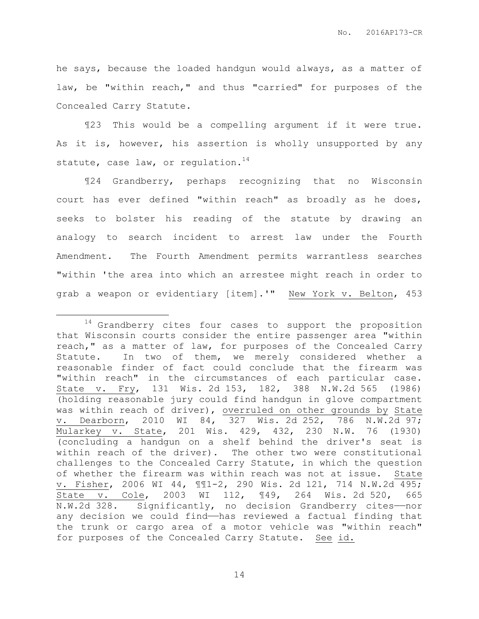he says, because the loaded handgun would always, as a matter of law, be "within reach," and thus "carried" for purposes of the Concealed Carry Statute.

¶23 This would be a compelling argument if it were true. As it is, however, his assertion is wholly unsupported by any statute, case law, or regulation. $^{14}$ 

¶24 Grandberry, perhaps recognizing that no Wisconsin court has ever defined "within reach" as broadly as he does, seeks to bolster his reading of the statute by drawing an analogy to search incident to arrest law under the Fourth Amendment. The Fourth Amendment permits warrantless searches "within 'the area into which an arrestee might reach in order to grab a weapon or evidentiary [item].'" New York v. Belton, 453

 $\overline{a}$ 

<sup>14</sup> Grandberry cites four cases to support the proposition that Wisconsin courts consider the entire passenger area "within reach," as a matter of law, for purposes of the Concealed Carry Statute. In two of them, we merely considered whether a reasonable finder of fact could conclude that the firearm was "within reach" in the circumstances of each particular case. State v. Fry, 131 Wis. 2d 153, 182, 388 N.W.2d 565 (1986) (holding reasonable jury could find handgun in glove compartment was within reach of driver), overruled on other grounds by State v. Dearborn, 2010 WI 84, 327 Wis. 2d 252, 786 N.W.2d 97; Mularkey v. State, 201 Wis. 429, 432, 230 N.W. 76 (1930) (concluding a handgun on a shelf behind the driver's seat is within reach of the driver). The other two were constitutional challenges to the Concealed Carry Statute, in which the question of whether the firearm was within reach was not at issue. State v. Fisher, 2006 WI 44, ¶¶1-2, 290 Wis. 2d 121, 714 N.W.2d 495; State v. Cole, 2003 WI 112, ¶49, 264 Wis. 2d 520, 665 N.W.2d 328. Significantly, no decision Grandberry cites——nor any decision we could find——has reviewed a factual finding that the trunk or cargo area of a motor vehicle was "within reach" for purposes of the Concealed Carry Statute. See id.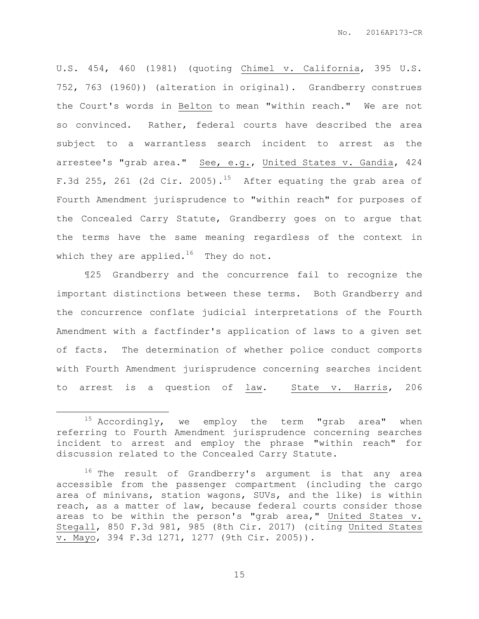U.S. 454, 460 (1981) (quoting Chimel v. California, 395 U.S. 752, 763 (1960)) (alteration in original). Grandberry construes the Court's words in Belton to mean "within reach." We are not so convinced. Rather, federal courts have described the area subject to a warrantless search incident to arrest as the arrestee's "grab area." See, e.g., United States v. Gandia, 424 F.3d 255, 261 (2d Cir. 2005).<sup>15</sup> After equating the grab area of Fourth Amendment jurisprudence to "within reach" for purposes of the Concealed Carry Statute, Grandberry goes on to argue that the terms have the same meaning regardless of the context in which they are applied.<sup>16</sup> They do not.

¶25 Grandberry and the concurrence fail to recognize the important distinctions between these terms. Both Grandberry and the concurrence conflate judicial interpretations of the Fourth Amendment with a factfinder's application of laws to a given set of facts. The determination of whether police conduct comports with Fourth Amendment jurisprudence concerning searches incident to arrest is a question of law. State v. Harris, 206

 $\overline{a}$ 

 $15$  Accordingly, we employ the term "grab area" when referring to Fourth Amendment jurisprudence concerning searches incident to arrest and employ the phrase "within reach" for discussion related to the Concealed Carry Statute.

<sup>&</sup>lt;sup>16</sup> The result of Grandberry's argument is that any area accessible from the passenger compartment (including the cargo area of minivans, station wagons, SUVs, and the like) is within reach, as a matter of law, because federal courts consider those areas to be within the person's "grab area," United States v. Stegall, 850 F.3d 981, 985 (8th Cir. 2017) (citing United States v. Mayo, 394 F.3d 1271, 1277 (9th Cir. 2005)).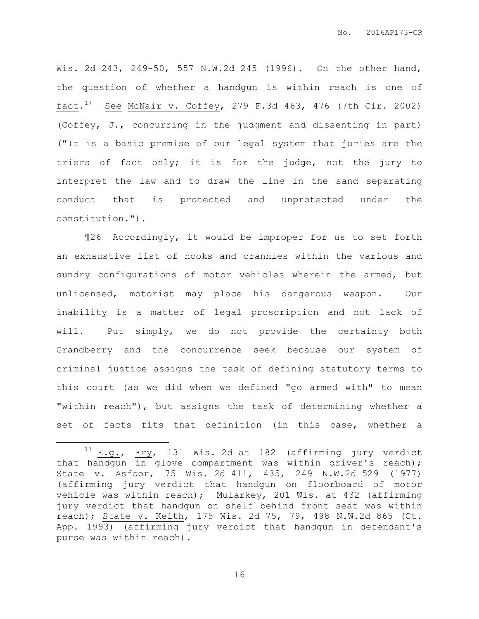Wis. 2d 243, 249-50, 557 N.W.2d 245 (1996). On the other hand, the question of whether a handgun is within reach is one of  $\texttt{fact.}^{\text{17}}$  See McNair v. Coffey, 279 F.3d 463, 476 (7th Cir. 2002) (Coffey, J., concurring in the judgment and dissenting in part) ("It is a basic premise of our legal system that juries are the triers of fact only; it is for the judge, not the jury to interpret the law and to draw the line in the sand separating conduct that is protected and unprotected under the constitution.").

¶26 Accordingly, it would be improper for us to set forth an exhaustive list of nooks and crannies within the various and sundry configurations of motor vehicles wherein the armed, but unlicensed, motorist may place his dangerous weapon. Our inability is a matter of legal proscription and not lack of will. Put simply, we do not provide the certainty both Grandberry and the concurrence seek because our system of criminal justice assigns the task of defining statutory terms to this court (as we did when we defined "go armed with" to mean "within reach"), but assigns the task of determining whether a set of facts fits that definition (in this case, whether a

 $\overline{a}$ 

<sup>&</sup>lt;sup>17</sup> E.g., Fry, 131 Wis. 2d at 182 (affirming jury verdict that handgun in glove compartment was within driver's reach); State v. Asfoor, 75 Wis. 2d 411, 435, 249 N.W.2d 529 (1977) (affirming jury verdict that handgun on floorboard of motor vehicle was within reach); Mularkey, 201 Wis. at 432 (affirming jury verdict that handgun on shelf behind front seat was within reach); State v. Keith, 175 Wis. 2d 75, 79, 498 N.W.2d 865 (Ct. App. 1993) (affirming jury verdict that handgun in defendant's purse was within reach).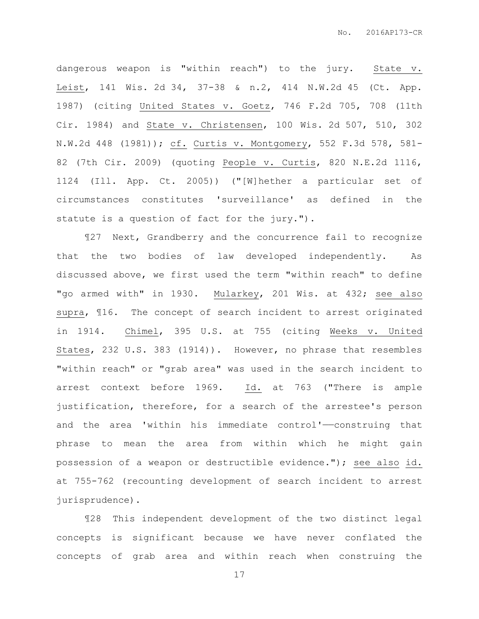dangerous weapon is "within reach") to the jury. State v. Leist, 141 Wis. 2d 34, 37-38 & n.2, 414 N.W.2d 45 (Ct. App. 1987) (citing United States v. Goetz, 746 F.2d 705, 708 (11th Cir. 1984) and State v. Christensen, 100 Wis. 2d 507, 510, 302 N.W.2d 448 (1981)); cf. Curtis v. Montgomery, 552 F.3d 578, 581- 82 (7th Cir. 2009) (quoting People v. Curtis, 820 N.E.2d 1116, 1124 (Ill. App. Ct. 2005)) ("[W]hether a particular set of circumstances constitutes 'surveillance' as defined in the statute is a question of fact for the jury.").

¶27 Next, Grandberry and the concurrence fail to recognize that the two bodies of law developed independently. As discussed above, we first used the term "within reach" to define "go armed with" in 1930. Mularkey, 201 Wis. at 432; see also supra, ¶16. The concept of search incident to arrest originated in 1914. Chimel, 395 U.S. at 755 (citing Weeks v. United States, 232 U.S. 383 (1914)). However, no phrase that resembles "within reach" or "grab area" was used in the search incident to arrest context before 1969. Id. at 763 ("There is ample justification, therefore, for a search of the arrestee's person and the area 'within his immediate control'-construing that phrase to mean the area from within which he might gain possession of a weapon or destructible evidence."); see also id. at 755-762 (recounting development of search incident to arrest jurisprudence).

¶28 This independent development of the two distinct legal concepts is significant because we have never conflated the concepts of grab area and within reach when construing the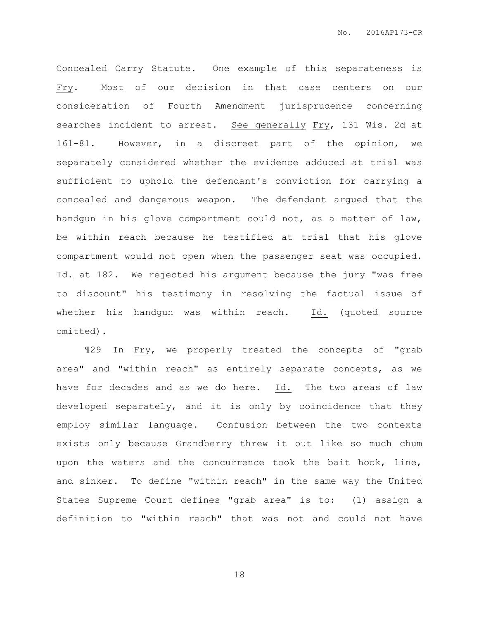Concealed Carry Statute. One example of this separateness is Fry. Most of our decision in that case centers on our consideration of Fourth Amendment jurisprudence concerning searches incident to arrest. See generally Fry, 131 Wis. 2d at 161-81. However, in a discreet part of the opinion, we separately considered whether the evidence adduced at trial was sufficient to uphold the defendant's conviction for carrying a concealed and dangerous weapon. The defendant argued that the handgun in his glove compartment could not, as a matter of law, be within reach because he testified at trial that his glove compartment would not open when the passenger seat was occupied. Id. at 182. We rejected his argument because the jury "was free to discount" his testimony in resolving the factual issue of whether his handgun was within reach. Id. (quoted source omitted).

¶29 In Fry, we properly treated the concepts of "grab area" and "within reach" as entirely separate concepts, as we have for decades and as we do here. Id. The two areas of law developed separately, and it is only by coincidence that they employ similar language. Confusion between the two contexts exists only because Grandberry threw it out like so much chum upon the waters and the concurrence took the bait hook, line, and sinker. To define "within reach" in the same way the United States Supreme Court defines "grab area" is to: (1) assign a definition to "within reach" that was not and could not have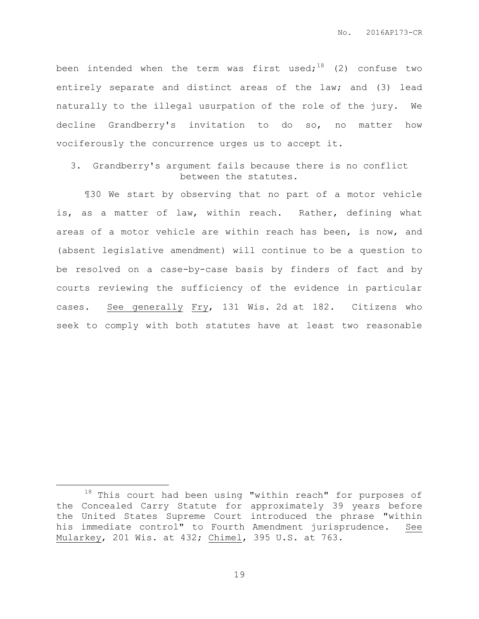been intended when the term was first used;<sup>18</sup> (2) confuse two entirely separate and distinct areas of the law; and (3) lead naturally to the illegal usurpation of the role of the jury. We decline Grandberry's invitation to do so, no matter how vociferously the concurrence urges us to accept it.

3. Grandberry's argument fails because there is no conflict between the statutes.

¶30 We start by observing that no part of a motor vehicle is, as a matter of law, within reach. Rather, defining what areas of a motor vehicle are within reach has been, is now, and (absent legislative amendment) will continue to be a question to be resolved on a case-by-case basis by finders of fact and by courts reviewing the sufficiency of the evidence in particular cases. See generally Fry, 131 Wis. 2d at 182. Citizens who seek to comply with both statutes have at least two reasonable

 $\overline{a}$ 

<sup>18</sup> This court had been using "within reach" for purposes of the Concealed Carry Statute for approximately 39 years before the United States Supreme Court introduced the phrase "within his immediate control" to Fourth Amendment jurisprudence. See Mularkey, 201 Wis. at 432; Chimel, 395 U.S. at 763.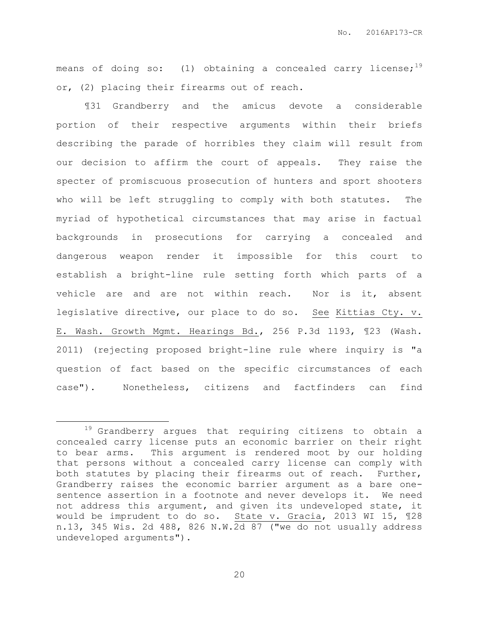means of doing so: (1) obtaining a concealed carry license;<sup>19</sup> or, (2) placing their firearms out of reach.

¶31 Grandberry and the amicus devote a considerable portion of their respective arguments within their briefs describing the parade of horribles they claim will result from our decision to affirm the court of appeals. They raise the specter of promiscuous prosecution of hunters and sport shooters who will be left struggling to comply with both statutes. The myriad of hypothetical circumstances that may arise in factual backgrounds in prosecutions for carrying a concealed and dangerous weapon render it impossible for this court to establish a bright-line rule setting forth which parts of a vehicle are and are not within reach. Nor is it, absent legislative directive, our place to do so. See Kittias Cty. v. E. Wash. Growth Mgmt. Hearings Bd., 256 P.3d 1193, ¶23 (Wash. 2011) (rejecting proposed bright-line rule where inquiry is "a question of fact based on the specific circumstances of each case"). Nonetheless, citizens and factfinders can find

 $\overline{a}$ 

<sup>&</sup>lt;sup>19</sup> Grandberry argues that requiring citizens to obtain a concealed carry license puts an economic barrier on their right to bear arms. This argument is rendered moot by our holding that persons without a concealed carry license can comply with both statutes by placing their firearms out of reach. Further, Grandberry raises the economic barrier argument as a bare onesentence assertion in a footnote and never develops it. We need not address this argument, and given its undeveloped state, it would be imprudent to do so. State v. Gracia, 2013 WI 15, ¶28 n.13, 345 Wis. 2d 488, 826 N.W.2d 87 ("we do not usually address undeveloped arguments").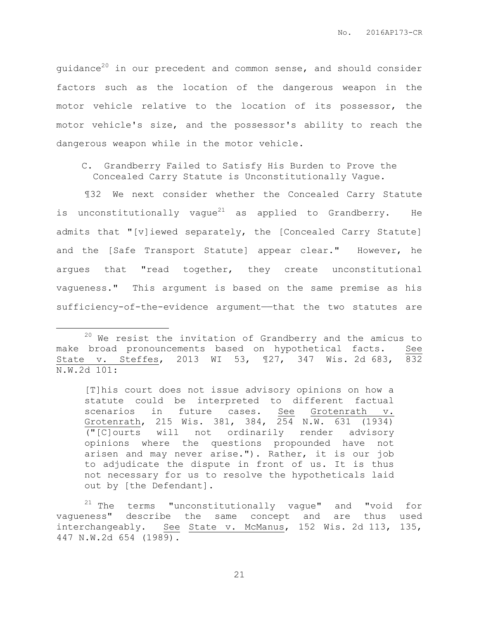guidance<sup>20</sup> in our precedent and common sense, and should consider factors such as the location of the dangerous weapon in the motor vehicle relative to the location of its possessor, the motor vehicle's size, and the possessor's ability to reach the dangerous weapon while in the motor vehicle.

C. Grandberry Failed to Satisfy His Burden to Prove the Concealed Carry Statute is Unconstitutionally Vague.

¶32 We next consider whether the Concealed Carry Statute is unconstitutionally vaque<sup>21</sup> as applied to Grandberry. He admits that "[v]iewed separately, the [Concealed Carry Statute] and the [Safe Transport Statute] appear clear." However, he argues that "read together, they create unconstitutional vagueness." This argument is based on the same premise as his sufficiency-of-the-evidence argument—that the two statutes are

 $\overline{a}$ 

[T]his court does not issue advisory opinions on how a statute could be interpreted to different factual scenarios in future cases. See Grotenrath v. Grotenrath, 215 Wis. 381, 384, 254 N.W. 631 (1934) ("[C]ourts will not ordinarily render advisory opinions where the questions propounded have not arisen and may never arise."). Rather, it is our job to adjudicate the dispute in front of us. It is thus not necessary for us to resolve the hypotheticals laid out by [the Defendant].

 $21$  The terms "unconstitutionally vague" and "void for vagueness" describe the same concept and are thus used interchangeably. See State v. McManus, 152 Wis. 2d 113, 135, 447 N.W.2d 654 (1989).

 $20$  We resist the invitation of Grandberry and the amicus to make broad pronouncements based on hypothetical facts. See State v. Steffes, 2013 WI 53, ¶27, 347 Wis. 2d 683, 832 N.W.2d 101: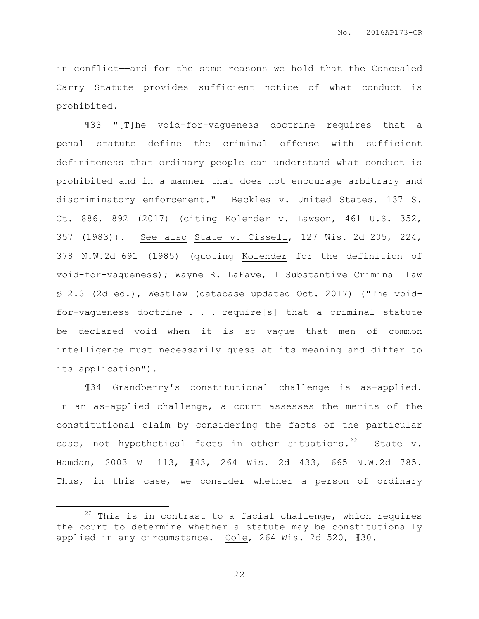in conflict——and for the same reasons we hold that the Concealed Carry Statute provides sufficient notice of what conduct is prohibited.

¶33 "[T]he void-for-vagueness doctrine requires that a penal statute define the criminal offense with sufficient definiteness that ordinary people can understand what conduct is prohibited and in a manner that does not encourage arbitrary and discriminatory enforcement." Beckles v. United States, 137 S. Ct. 886, 892 (2017) (citing Kolender v. Lawson, 461 U.S. 352, 357 (1983)). See also State v. Cissell, 127 Wis. 2d 205, 224, 378 N.W.2d 691 (1985) (quoting Kolender for the definition of void-for-vagueness); Wayne R. LaFave, 1 Substantive Criminal Law § 2.3 (2d ed.), Westlaw (database updated Oct. 2017) ("The voidfor-vagueness doctrine . . . require[s] that a criminal statute be declared void when it is so vague that men of common intelligence must necessarily guess at its meaning and differ to its application").

¶34 Grandberry's constitutional challenge is as-applied. In an as-applied challenge, a court assesses the merits of the constitutional claim by considering the facts of the particular case, not hypothetical facts in other situations.<sup>22</sup> State v. Hamdan, 2003 WI 113, ¶43, 264 Wis. 2d 433, 665 N.W.2d 785. Thus, in this case, we consider whether a person of ordinary

 $\overline{a}$ 

 $22$  This is in contrast to a facial challenge, which requires the court to determine whether a statute may be constitutionally applied in any circumstance. Cole, 264 Wis. 2d 520, ¶30.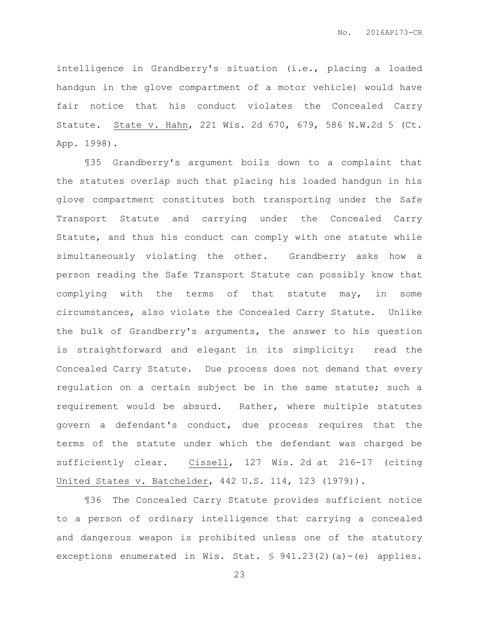intelligence in Grandberry's situation (i.e., placing a loaded handgun in the glove compartment of a motor vehicle) would have fair notice that his conduct violates the Concealed Carry Statute. State v. Hahn, 221 Wis. 2d 670, 679, 586 N.W.2d 5 (Ct. App. 1998).

¶35 Grandberry's argument boils down to a complaint that the statutes overlap such that placing his loaded handgun in his glove compartment constitutes both transporting under the Safe Transport Statute and carrying under the Concealed Carry Statute, and thus his conduct can comply with one statute while simultaneously violating the other. Grandberry asks how a person reading the Safe Transport Statute can possibly know that complying with the terms of that statute may, in some circumstances, also violate the Concealed Carry Statute. Unlike the bulk of Grandberry's arguments, the answer to his question is straightforward and elegant in its simplicity: read the Concealed Carry Statute. Due process does not demand that every regulation on a certain subject be in the same statute; such a requirement would be absurd. Rather, where multiple statutes govern a defendant's conduct, due process requires that the terms of the statute under which the defendant was charged be sufficiently clear. Cissell, 127 Wis. 2d at 216-17 (citing United States v. Batchelder, 442 U.S. 114, 123 (1979)).

¶36 The Concealed Carry Statute provides sufficient notice to a person of ordinary intelligence that carrying a concealed and dangerous weapon is prohibited unless one of the statutory exceptions enumerated in Wis. Stat. § 941.23(2)(a)-(e) applies.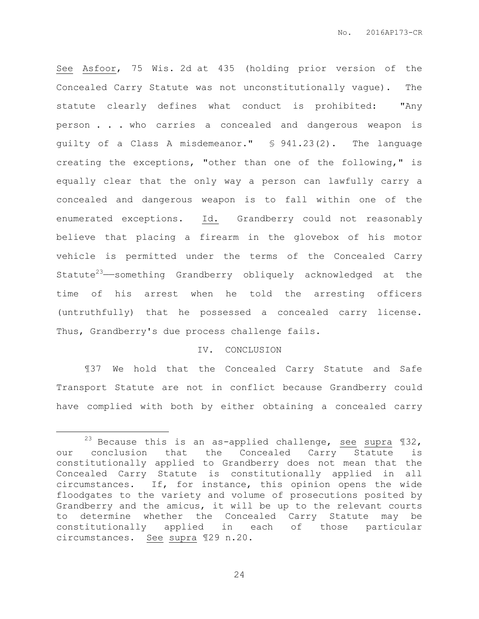See Asfoor, 75 Wis. 2d at 435 (holding prior version of the Concealed Carry Statute was not unconstitutionally vague). The statute clearly defines what conduct is prohibited: "Any person . . . who carries a concealed and dangerous weapon is guilty of a Class A misdemeanor." § 941.23(2). The language creating the exceptions, "other than one of the following," is equally clear that the only way a person can lawfully carry a concealed and dangerous weapon is to fall within one of the enumerated exceptions. Id. Grandberry could not reasonably believe that placing a firearm in the glovebox of his motor vehicle is permitted under the terms of the Concealed Carry Statute<sup>23</sup>—something Grandberry obliquely acknowledged at the time of his arrest when he told the arresting officers (untruthfully) that he possessed a concealed carry license. Thus, Grandberry's due process challenge fails.

## IV. CONCLUSION

¶37 We hold that the Concealed Carry Statute and Safe Transport Statute are not in conflict because Grandberry could have complied with both by either obtaining a concealed carry

 $\overline{a}$ 

<sup>&</sup>lt;sup>23</sup> Because this is an as-applied challenge, see supra  $$32$ , our conclusion that the Concealed Carry Statute is constitutionally applied to Grandberry does not mean that the Concealed Carry Statute is constitutionally applied in all circumstances. If, for instance, this opinion opens the wide floodgates to the variety and volume of prosecutions posited by Grandberry and the amicus, it will be up to the relevant courts to determine whether the Concealed Carry Statute may be constitutionally applied in each of those particular circumstances. See supra ¶29 n.20.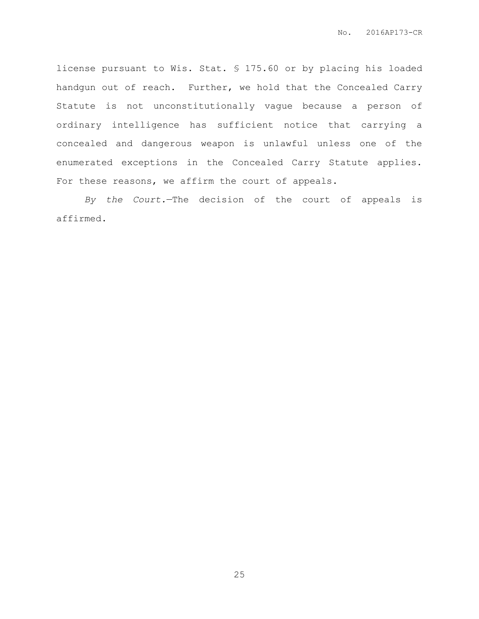license pursuant to Wis. Stat. § 175.60 or by placing his loaded handgun out of reach. Further, we hold that the Concealed Carry Statute is not unconstitutionally vague because a person of ordinary intelligence has sufficient notice that carrying a concealed and dangerous weapon is unlawful unless one of the enumerated exceptions in the Concealed Carry Statute applies. For these reasons, we affirm the court of appeals.

*By the Court.*—The decision of the court of appeals is affirmed.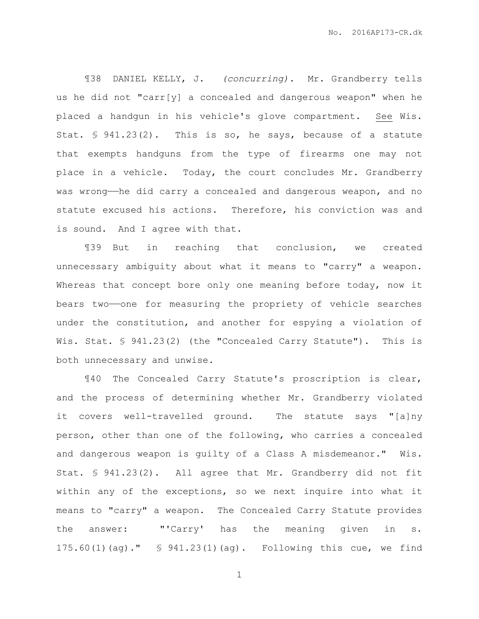¶38 DANIEL KELLY, J. *(concurring).* Mr. Grandberry tells us he did not "carr[y] a concealed and dangerous weapon" when he placed a handgun in his vehicle's glove compartment. See Wis. Stat. § 941.23(2). This is so, he says, because of a statute that exempts handguns from the type of firearms one may not place in a vehicle. Today, the court concludes Mr. Grandberry was wrong—he did carry a concealed and dangerous weapon, and no statute excused his actions. Therefore, his conviction was and is sound. And I agree with that.

¶39 But in reaching that conclusion, we created unnecessary ambiguity about what it means to "carry" a weapon. Whereas that concept bore only one meaning before today, now it bears two——one for measuring the propriety of vehicle searches under the constitution, and another for espying a violation of Wis. Stat. § 941.23(2) (the "Concealed Carry Statute"). This is both unnecessary and unwise.

¶40 The Concealed Carry Statute's proscription is clear, and the process of determining whether Mr. Grandberry violated it covers well-travelled ground. The statute says "[a]ny person, other than one of the following, who carries a concealed and dangerous weapon is guilty of a Class A misdemeanor." Wis. Stat. § 941.23(2). All agree that Mr. Grandberry did not fit within any of the exceptions, so we next inquire into what it means to "carry" a weapon. The Concealed Carry Statute provides the answer: "'Carry' has the meaning given in s. 175.60(1)(ag)." § 941.23(1)(ag). Following this cue, we find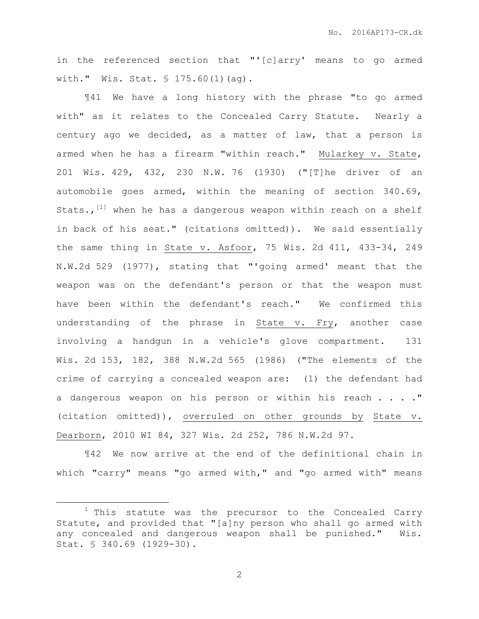in the referenced section that "'[c]arry' means to go armed with." Wis. Stat. § 175.60(1)(ag).

¶41 We have a long history with the phrase "to go armed with" as it relates to the Concealed Carry Statute. Nearly a century ago we decided, as a matter of law, that a person is armed when he has a firearm "within reach." Mularkey v. State, 201 Wis. 429, 432, 230 N.W. 76 (1930) ("[T]he driver of an automobile goes armed, within the meaning of section 340.69, Stats., <sup>[1]</sup> when he has a dangerous weapon within reach on a shelf in back of his seat." (citations omitted)). We said essentially the same thing in State v. Asfoor, 75 Wis. 2d 411, 433-34, 249 N.W.2d 529 (1977), stating that "'going armed' meant that the weapon was on the defendant's person or that the weapon must have been within the defendant's reach." We confirmed this understanding of the phrase in State v. Fry, another case involving a handgun in a vehicle's glove compartment. 131 Wis. 2d 153, 182, 388 N.W.2d 565 (1986) ("The elements of the crime of carrying a concealed weapon are: (1) the defendant had a dangerous weapon on his person or within his reach . . . . " (citation omitted)), overruled on other grounds by State v. Dearborn, 2010 WI 84, 327 Wis. 2d 252, 786 N.W.2d 97.

¶42 We now arrive at the end of the definitional chain in which "carry" means "go armed with," and "go armed with" means

 $\overline{a}$ 

 $1$  This statute was the precursor to the Concealed Carry Statute, and provided that "[a]ny person who shall go armed with any concealed and dangerous weapon shall be punished." Wis. Stat. § 340.69 (1929-30).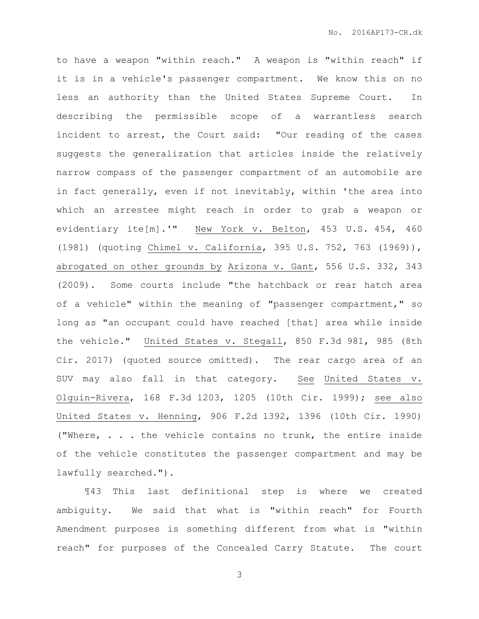to have a weapon "within reach." A weapon is "within reach" if it is in a vehicle's passenger compartment. We know this on no less an authority than the United States Supreme Court. In describing the permissible scope of a warrantless search incident to arrest, the Court said: "Our reading of the cases suggests the generalization that articles inside the relatively narrow compass of the passenger compartment of an automobile are in fact generally, even if not inevitably, within 'the area into which an arrestee might reach in order to grab a weapon or evidentiary ite[m].'" New York v. Belton, 453 U.S. 454, 460 (1981) (quoting Chimel v. California, 395 U.S. 752, 763 (1969)), abrogated on other grounds by Arizona v. Gant, 556 U.S. 332, 343 (2009). Some courts include "the hatchback or rear hatch area of a vehicle" within the meaning of "passenger compartment," so long as "an occupant could have reached [that] area while inside the vehicle." United States v. Stegall, 850 F.3d 981, 985 (8th Cir. 2017) (quoted source omitted). The rear cargo area of an SUV may also fall in that category. See United States v. Olguin-Rivera, 168 F.3d 1203, 1205 (10th Cir. 1999); see also United States v. Henning, 906 F.2d 1392, 1396 (10th Cir. 1990) ("Where, . . . the vehicle contains no trunk, the entire inside of the vehicle constitutes the passenger compartment and may be lawfully searched.").

¶43 This last definitional step is where we created ambiguity. We said that what is "within reach" for Fourth Amendment purposes is something different from what is "within reach" for purposes of the Concealed Carry Statute. The court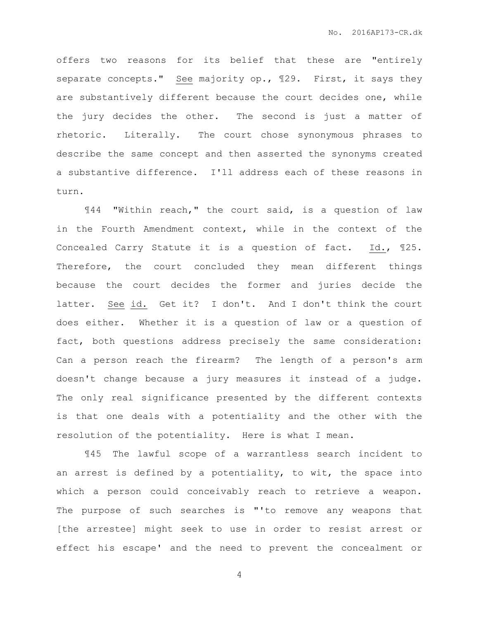offers two reasons for its belief that these are "entirely separate concepts." See majority op., ¶29. First, it says they are substantively different because the court decides one, while the jury decides the other. The second is just a matter of rhetoric. Literally. The court chose synonymous phrases to describe the same concept and then asserted the synonyms created a substantive difference. I'll address each of these reasons in turn.

¶44 "Within reach," the court said, is a question of law in the Fourth Amendment context, while in the context of the Concealed Carry Statute it is a question of fact. Id., ¶25. Therefore, the court concluded they mean different things because the court decides the former and juries decide the latter. See id. Get it? I don't. And I don't think the court does either. Whether it is a question of law or a question of fact, both questions address precisely the same consideration: Can a person reach the firearm? The length of a person's arm doesn't change because a jury measures it instead of a judge. The only real significance presented by the different contexts is that one deals with a potentiality and the other with the resolution of the potentiality. Here is what I mean.

¶45 The lawful scope of a warrantless search incident to an arrest is defined by a potentiality, to wit, the space into which a person could conceivably reach to retrieve a weapon. The purpose of such searches is "'to remove any weapons that [the arrestee] might seek to use in order to resist arrest or effect his escape' and the need to prevent the concealment or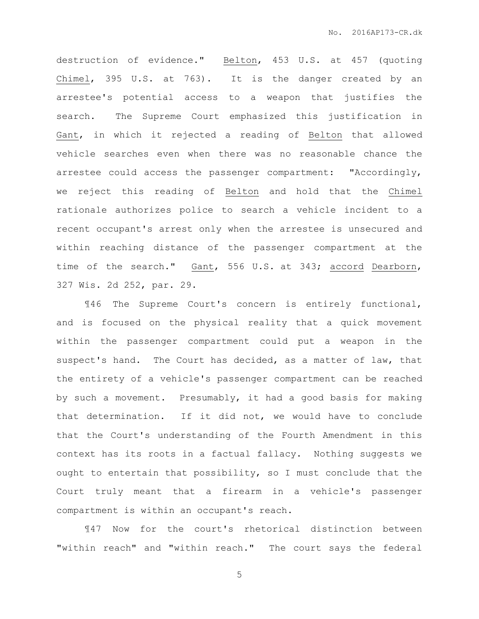destruction of evidence." Belton, 453 U.S. at 457 (quoting Chimel, 395 U.S. at 763). It is the danger created by an arrestee's potential access to a weapon that justifies the search. The Supreme Court emphasized this justification in Gant, in which it rejected a reading of Belton that allowed vehicle searches even when there was no reasonable chance the arrestee could access the passenger compartment: "Accordingly, we reject this reading of Belton and hold that the Chimel rationale authorizes police to search a vehicle incident to a recent occupant's arrest only when the arrestee is unsecured and within reaching distance of the passenger compartment at the time of the search." Gant, 556 U.S. at 343; accord Dearborn, 327 Wis. 2d 252, par. 29.

¶46 The Supreme Court's concern is entirely functional, and is focused on the physical reality that a quick movement within the passenger compartment could put a weapon in the suspect's hand. The Court has decided, as a matter of law, that the entirety of a vehicle's passenger compartment can be reached by such a movement. Presumably, it had a good basis for making that determination. If it did not, we would have to conclude that the Court's understanding of the Fourth Amendment in this context has its roots in a factual fallacy. Nothing suggests we ought to entertain that possibility, so I must conclude that the Court truly meant that a firearm in a vehicle's passenger compartment is within an occupant's reach.

¶47 Now for the court's rhetorical distinction between "within reach" and "within reach." The court says the federal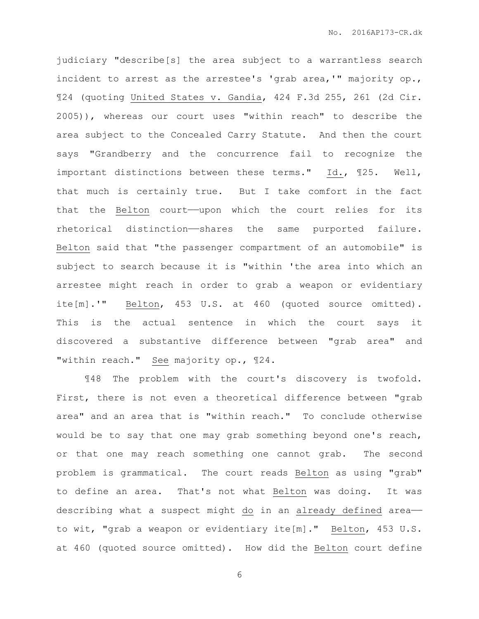judiciary "describe[s] the area subject to a warrantless search incident to arrest as the arrestee's 'grab area,'" majority op., ¶24 (quoting United States v. Gandia, 424 F.3d 255, 261 (2d Cir. 2005)), whereas our court uses "within reach" to describe the area subject to the Concealed Carry Statute. And then the court says "Grandberry and the concurrence fail to recognize the important distinctions between these terms." Id., ¶25. Well, that much is certainly true. But I take comfort in the fact that the Belton court—upon which the court relies for its rhetorical distinction——shares the same purported failure. Belton said that "the passenger compartment of an automobile" is subject to search because it is "within 'the area into which an arrestee might reach in order to grab a weapon or evidentiary ite[m].'" Belton, 453 U.S. at 460 (quoted source omitted). This is the actual sentence in which the court says it discovered a substantive difference between "grab area" and "within reach." See majority op., ¶24.

¶48 The problem with the court's discovery is twofold. First, there is not even a theoretical difference between "grab area" and an area that is "within reach." To conclude otherwise would be to say that one may grab something beyond one's reach, or that one may reach something one cannot grab. The second problem is grammatical. The court reads Belton as using "grab" to define an area. That's not what Belton was doing. It was describing what a suspect might do in an already defined area— to wit, "grab a weapon or evidentiary ite[m]." Belton, 453 U.S. at 460 (quoted source omitted). How did the Belton court define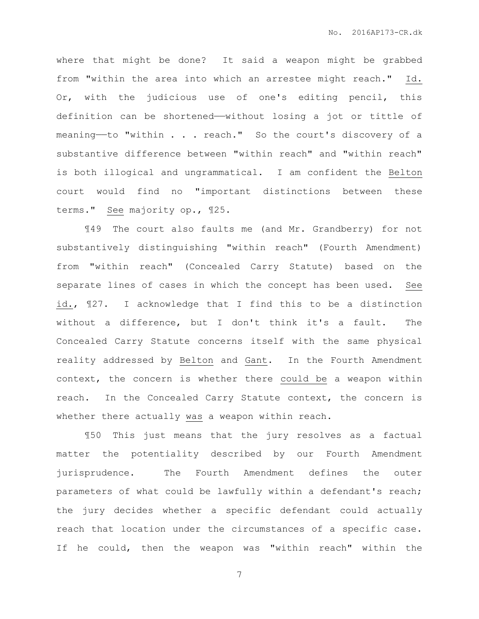where that might be done? It said a weapon might be grabbed from "within the area into which an arrestee might reach." Id. Or, with the judicious use of one's editing pencil, this definition can be shortened—without losing a jot or tittle of meaning—to "within . . . reach." So the court's discovery of a substantive difference between "within reach" and "within reach" is both illogical and ungrammatical. I am confident the Belton court would find no "important distinctions between these terms." See majority op., ¶25.

¶49 The court also faults me (and Mr. Grandberry) for not substantively distinguishing "within reach" (Fourth Amendment) from "within reach" (Concealed Carry Statute) based on the separate lines of cases in which the concept has been used. See id., ¶27. I acknowledge that I find this to be a distinction without a difference, but I don't think it's a fault. The Concealed Carry Statute concerns itself with the same physical reality addressed by Belton and Gant. In the Fourth Amendment context, the concern is whether there could be a weapon within reach. In the Concealed Carry Statute context, the concern is whether there actually was a weapon within reach.

¶50 This just means that the jury resolves as a factual matter the potentiality described by our Fourth Amendment jurisprudence. The Fourth Amendment defines the outer parameters of what could be lawfully within a defendant's reach; the jury decides whether a specific defendant could actually reach that location under the circumstances of a specific case. If he could, then the weapon was "within reach" within the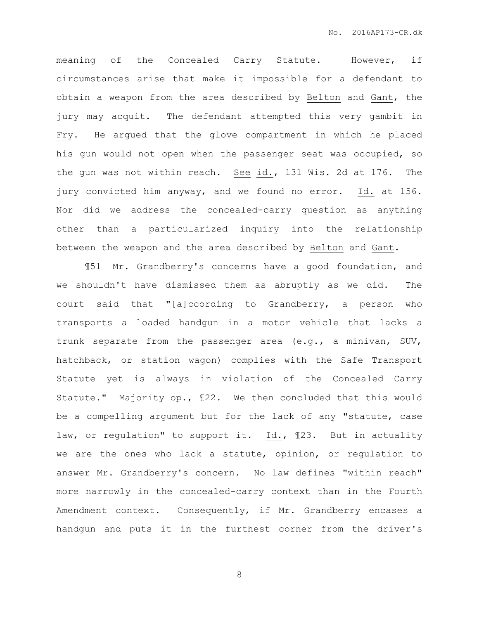meaning of the Concealed Carry Statute. However, if circumstances arise that make it impossible for a defendant to obtain a weapon from the area described by Belton and Gant, the jury may acquit. The defendant attempted this very gambit in Fry. He argued that the glove compartment in which he placed his gun would not open when the passenger seat was occupied, so the gun was not within reach. See id., 131 Wis. 2d at 176. The jury convicted him anyway, and we found no error. Id. at 156. Nor did we address the concealed-carry question as anything other than a particularized inquiry into the relationship between the weapon and the area described by Belton and Gant.

¶51 Mr. Grandberry's concerns have a good foundation, and we shouldn't have dismissed them as abruptly as we did. The court said that "[a]ccording to Grandberry, a person who transports a loaded handgun in a motor vehicle that lacks a trunk separate from the passenger area (e.g., a minivan, SUV, hatchback, or station wagon) complies with the Safe Transport Statute yet is always in violation of the Concealed Carry Statute." Majority op., ¶22. We then concluded that this would be a compelling argument but for the lack of any "statute, case law, or regulation" to support it. Id., 123. But in actuality we are the ones who lack a statute, opinion, or regulation to answer Mr. Grandberry's concern. No law defines "within reach" more narrowly in the concealed-carry context than in the Fourth Amendment context. Consequently, if Mr. Grandberry encases a handgun and puts it in the furthest corner from the driver's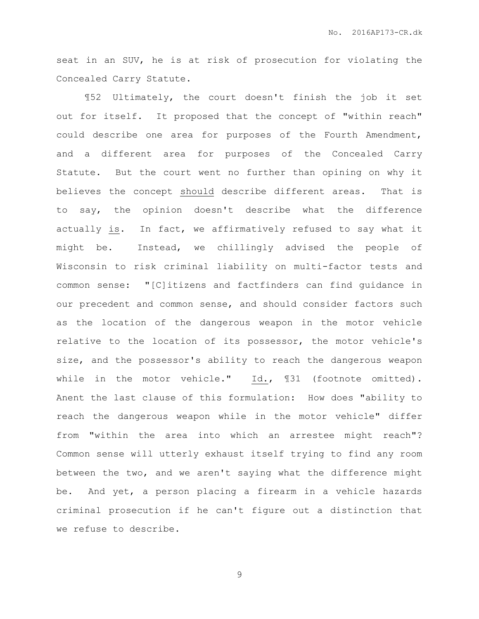seat in an SUV, he is at risk of prosecution for violating the Concealed Carry Statute.

¶52 Ultimately, the court doesn't finish the job it set out for itself. It proposed that the concept of "within reach" could describe one area for purposes of the Fourth Amendment, and a different area for purposes of the Concealed Carry Statute. But the court went no further than opining on why it believes the concept should describe different areas. That is to say, the opinion doesn't describe what the difference actually is. In fact, we affirmatively refused to say what it might be. Instead, we chillingly advised the people of Wisconsin to risk criminal liability on multi-factor tests and common sense: "[C]itizens and factfinders can find guidance in our precedent and common sense, and should consider factors such as the location of the dangerous weapon in the motor vehicle relative to the location of its possessor, the motor vehicle's size, and the possessor's ability to reach the dangerous weapon while in the motor vehicle." Id., ¶31 (footnote omitted). Anent the last clause of this formulation: How does "ability to reach the dangerous weapon while in the motor vehicle" differ from "within the area into which an arrestee might reach"? Common sense will utterly exhaust itself trying to find any room between the two, and we aren't saying what the difference might be. And yet, a person placing a firearm in a vehicle hazards criminal prosecution if he can't figure out a distinction that we refuse to describe.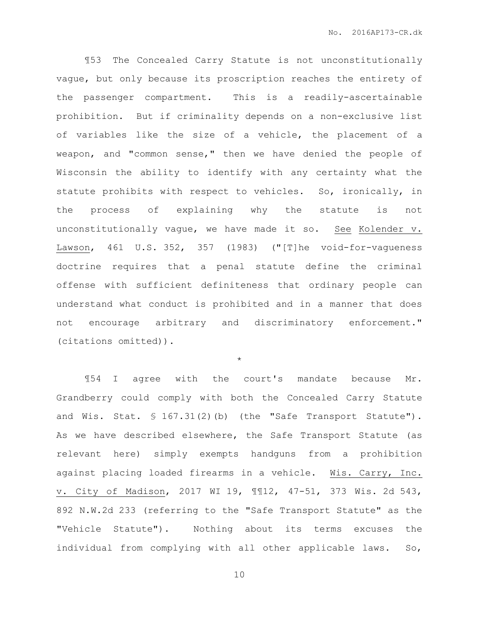¶53 The Concealed Carry Statute is not unconstitutionally vague, but only because its proscription reaches the entirety of the passenger compartment. This is a readily-ascertainable prohibition. But if criminality depends on a non-exclusive list of variables like the size of a vehicle, the placement of a weapon, and "common sense," then we have denied the people of Wisconsin the ability to identify with any certainty what the statute prohibits with respect to vehicles. So, ironically, in the process of explaining why the statute is not unconstitutionally vague, we have made it so. See Kolender v. Lawson, 461 U.S. 352, 357 (1983) ("[T]he void-for-vagueness doctrine requires that a penal statute define the criminal offense with sufficient definiteness that ordinary people can understand what conduct is prohibited and in a manner that does not encourage arbitrary and discriminatory enforcement." (citations omitted)).

\*

¶54 I agree with the court's mandate because Mr. Grandberry could comply with both the Concealed Carry Statute and Wis. Stat. § 167.31(2)(b) (the "Safe Transport Statute"). As we have described elsewhere, the Safe Transport Statute (as relevant here) simply exempts handguns from a prohibition against placing loaded firearms in a vehicle. Wis. Carry, Inc. v. City of Madison, 2017 WI 19, ¶¶12, 47-51, 373 Wis. 2d 543, 892 N.W.2d 233 (referring to the "Safe Transport Statute" as the "Vehicle Statute"). Nothing about its terms excuses the individual from complying with all other applicable laws. So,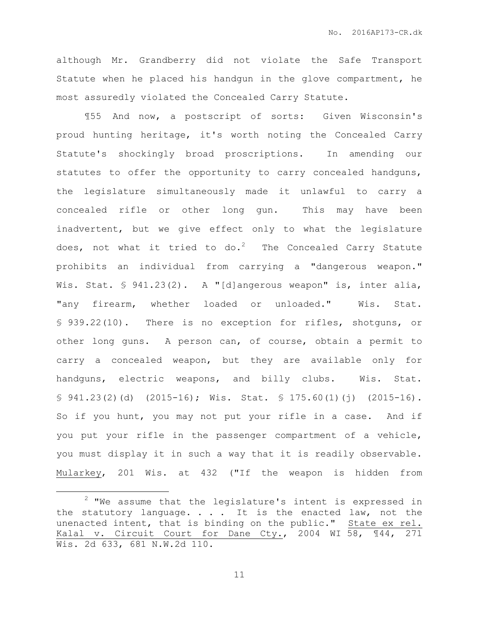although Mr. Grandberry did not violate the Safe Transport Statute when he placed his handgun in the glove compartment, he most assuredly violated the Concealed Carry Statute.

¶55 And now, a postscript of sorts: Given Wisconsin's proud hunting heritage, it's worth noting the Concealed Carry Statute's shockingly broad proscriptions. In amending our statutes to offer the opportunity to carry concealed handguns, the legislature simultaneously made it unlawful to carry a concealed rifle or other long gun. This may have been inadvertent, but we give effect only to what the legislature does, not what it tried to do.<sup>2</sup> The Concealed Carry Statute prohibits an individual from carrying a "dangerous weapon." Wis. Stat. § 941.23(2). A "[d]angerous weapon" is, inter alia, "any firearm, whether loaded or unloaded." Wis. Stat. § 939.22(10). There is no exception for rifles, shotguns, or other long guns. A person can, of course, obtain a permit to carry a concealed weapon, but they are available only for handguns, electric weapons, and billy clubs. Wis. Stat. § 941.23(2)(d) (2015-16); Wis. Stat. § 175.60(1)(j) (2015-16). So if you hunt, you may not put your rifle in a case. And if you put your rifle in the passenger compartment of a vehicle, you must display it in such a way that it is readily observable. Mularkey, 201 Wis. at 432 ("If the weapon is hidden from

 $\overline{a}$ 

 $2$  "We assume that the legislature's intent is expressed in the statutory language.  $\ldots$  it is the enacted law, not the unenacted intent, that is binding on the public." State ex rel. Kalal v. Circuit Court for Dane Cty., 2004 WI 58, ¶44, 271 Wis. 2d 633, 681 N.W.2d 110.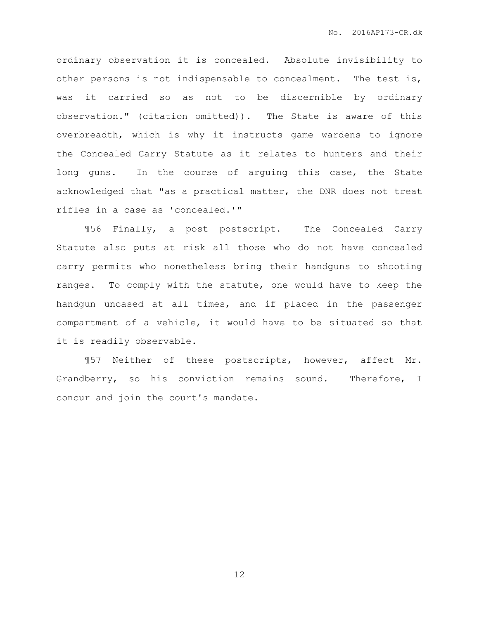ordinary observation it is concealed. Absolute invisibility to other persons is not indispensable to concealment. The test is, was it carried so as not to be discernible by ordinary observation." (citation omitted)). The State is aware of this overbreadth, which is why it instructs game wardens to ignore the Concealed Carry Statute as it relates to hunters and their long guns. In the course of arguing this case, the State acknowledged that "as a practical matter, the DNR does not treat rifles in a case as 'concealed.'"

¶56 Finally, a post postscript. The Concealed Carry Statute also puts at risk all those who do not have concealed carry permits who nonetheless bring their handguns to shooting ranges. To comply with the statute, one would have to keep the handgun uncased at all times, and if placed in the passenger compartment of a vehicle, it would have to be situated so that it is readily observable.

¶57 Neither of these postscripts, however, affect Mr. Grandberry, so his conviction remains sound. Therefore, I concur and join the court's mandate.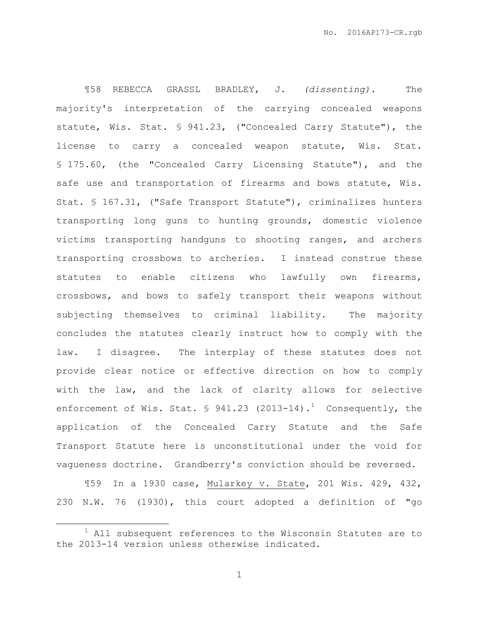¶58 REBECCA GRASSL BRADLEY, J. *(dissenting).* The majority's interpretation of the carrying concealed weapons statute, Wis. Stat. § 941.23, ("Concealed Carry Statute"), the license to carry a concealed weapon statute, Wis. Stat. § 175.60, (the "Concealed Carry Licensing Statute"), and the safe use and transportation of firearms and bows statute, Wis. Stat. § 167.31, ("Safe Transport Statute"), criminalizes hunters transporting long guns to hunting grounds, domestic violence victims transporting handguns to shooting ranges, and archers transporting crossbows to archeries. I instead construe these statutes to enable citizens who lawfully own firearms, crossbows, and bows to safely transport their weapons without subjecting themselves to criminal liability. The majority concludes the statutes clearly instruct how to comply with the law. I disagree. The interplay of these statutes does not provide clear notice or effective direction on how to comply with the law, and the lack of clarity allows for selective enforcement of Wis. Stat.  $\frac{1}{2}$  941.23 (2013-14).<sup>1</sup> Consequently, the application of the Concealed Carry Statute and the Safe Transport Statute here is unconstitutional under the void for vagueness doctrine. Grandberry's conviction should be reversed.

¶59 In a 1930 case, Mularkey v. State, 201 Wis. 429, 432, 230 N.W. 76 (1930), this court adopted a definition of "go

 $\overline{a}$ 

 $1$  All subsequent references to the Wisconsin Statutes are to the 2013-14 version unless otherwise indicated.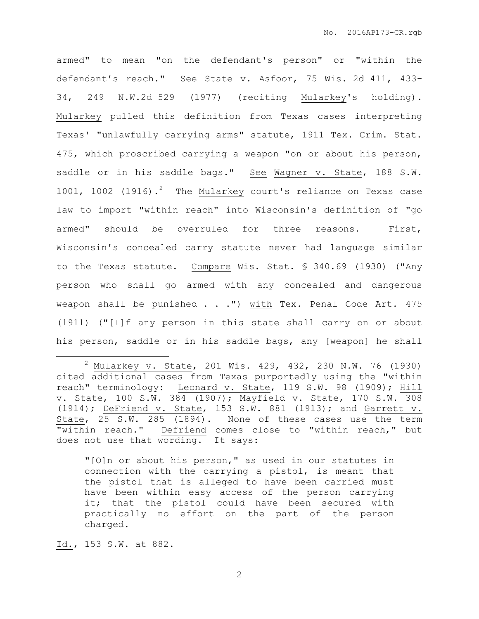armed" to mean "on the defendant's person" or "within the defendant's reach." See State v. Asfoor, 75 Wis. 2d 411, 433- 34, 249 N.W.2d 529 (1977) (reciting Mularkey's holding). Mularkey pulled this definition from Texas cases interpreting Texas' "unlawfully carrying arms" statute, 1911 Tex. Crim. Stat. 475, which proscribed carrying a weapon "on or about his person, saddle or in his saddle bags." See Wagner v. State, 188 S.W. 1001, 1002 (1916).<sup>2</sup> The Mularkey court's reliance on Texas case law to import "within reach" into Wisconsin's definition of "go armed" should be overruled for three reasons. First, Wisconsin's concealed carry statute never had language similar to the Texas statute. Compare Wis. Stat. § 340.69 (1930) ("Any person who shall go armed with any concealed and dangerous weapon shall be punished . . .") with Tex. Penal Code Art. 475 (1911) ("[I]f any person in this state shall carry on or about his person, saddle or in his saddle bags, any [weapon] he shall

"[O]n or about his person," as used in our statutes in connection with the carrying a pistol, is meant that the pistol that is alleged to have been carried must have been within easy access of the person carrying it; that the pistol could have been secured with practically no effort on the part of the person charged.

Id., 153 S.W. at 882.

 $\overline{a}$ 

<sup>2</sup> Mularkey v. State, 201 Wis. 429, 432, 230 N.W. 76 (1930) cited additional cases from Texas purportedly using the "within reach" terminology: Leonard v. State, 119 S.W. 98 (1909); Hill v. State, 100 S.W. 384 (1907); Mayfield v. State, 170 S.W. 308 (1914); DeFriend v. State, 153  $\overline{S.W. 881}$  (1913); and Garrett v. State, 25 S.W. 285 (1894). None of these cases use the term "within reach." Defriend comes close to "within reach," but does not use that wording. It says: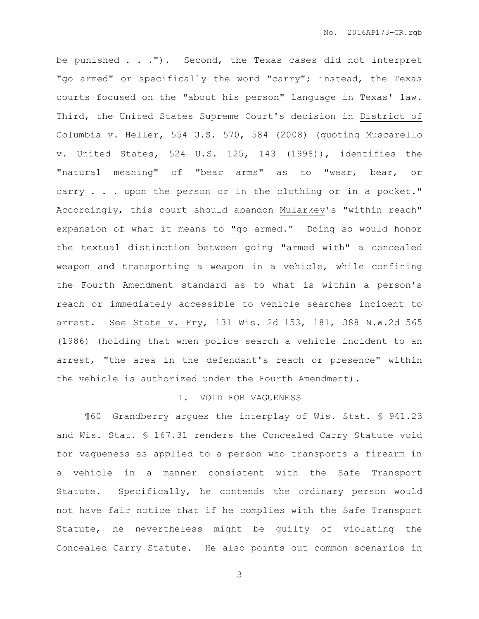be punished . . ."). Second, the Texas cases did not interpret "go armed" or specifically the word "carry"; instead, the Texas courts focused on the "about his person" language in Texas' law. Third, the United States Supreme Court's decision in District of Columbia v. Heller, 554 U.S. 570, 584 (2008) (quoting Muscarello v. United States, 524 U.S. 125, 143 (1998)), identifies the "natural meaning" of "bear arms" as to "wear, bear, or carry . . . upon the person or in the clothing or in a pocket." Accordingly, this court should abandon Mularkey's "within reach" expansion of what it means to "go armed." Doing so would honor the textual distinction between going "armed with" a concealed weapon and transporting a weapon in a vehicle, while confining the Fourth Amendment standard as to what is within a person's reach or immediately accessible to vehicle searches incident to arrest. See State v. Fry, 131 Wis. 2d 153, 181, 388 N.W.2d 565 (1986) (holding that when police search a vehicle incident to an arrest, "the area in the defendant's reach or presence" within the vehicle is authorized under the Fourth Amendment).

## I. VOID FOR VAGUENESS

¶60 Grandberry argues the interplay of Wis. Stat. § 941.23 and Wis. Stat. § 167.31 renders the Concealed Carry Statute void for vagueness as applied to a person who transports a firearm in a vehicle in a manner consistent with the Safe Transport Statute. Specifically, he contends the ordinary person would not have fair notice that if he complies with the Safe Transport Statute, he nevertheless might be guilty of violating the Concealed Carry Statute. He also points out common scenarios in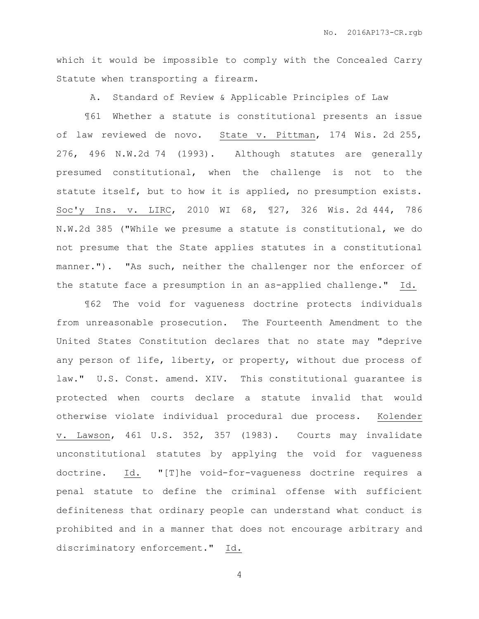which it would be impossible to comply with the Concealed Carry Statute when transporting a firearm.

A. Standard of Review & Applicable Principles of Law

¶61 Whether a statute is constitutional presents an issue of law reviewed de novo. State v. Pittman, 174 Wis. 2d 255, 276, 496 N.W.2d 74 (1993). Although statutes are generally presumed constitutional, when the challenge is not to the statute itself, but to how it is applied, no presumption exists. Soc'y Ins. v. LIRC, 2010 WI 68, ¶27, 326 Wis. 2d 444, 786 N.W.2d 385 ("While we presume a statute is constitutional, we do not presume that the State applies statutes in a constitutional manner."). "As such, neither the challenger nor the enforcer of the statute face a presumption in an as-applied challenge." Id.

¶62 The void for vagueness doctrine protects individuals from unreasonable prosecution. The Fourteenth Amendment to the United States Constitution declares that no state may "deprive any person of life, liberty, or property, without due process of law." U.S. Const. amend. XIV. This constitutional guarantee is protected when courts declare a statute invalid that would otherwise violate individual procedural due process. Kolender v. Lawson, 461 U.S. 352, 357 (1983). Courts may invalidate unconstitutional statutes by applying the void for vagueness doctrine. Id. "[T]he void-for-vagueness doctrine requires a penal statute to define the criminal offense with sufficient definiteness that ordinary people can understand what conduct is prohibited and in a manner that does not encourage arbitrary and discriminatory enforcement." Id.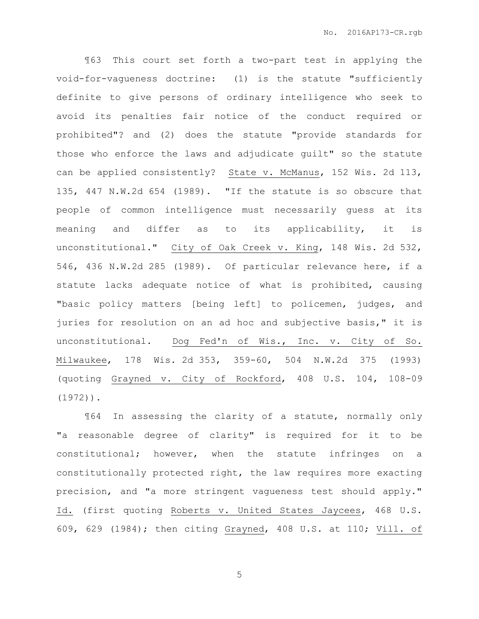¶63 This court set forth a two-part test in applying the void-for-vagueness doctrine: (1) is the statute "sufficiently definite to give persons of ordinary intelligence who seek to avoid its penalties fair notice of the conduct required or prohibited"? and (2) does the statute "provide standards for those who enforce the laws and adjudicate guilt" so the statute can be applied consistently? State v. McManus, 152 Wis. 2d 113, 135, 447 N.W.2d 654 (1989). "If the statute is so obscure that people of common intelligence must necessarily guess at its meaning and differ as to its applicability, it is unconstitutional." City of Oak Creek v. King, 148 Wis. 2d 532, 546, 436 N.W.2d 285 (1989). Of particular relevance here, if a statute lacks adequate notice of what is prohibited, causing "basic policy matters [being left] to policemen, judges, and juries for resolution on an ad hoc and subjective basis," it is unconstitutional. Dog Fed'n of Wis., Inc. v. City of So. Milwaukee, 178 Wis. 2d 353, 359-60, 504 N.W.2d 375 (1993) (quoting Grayned v. City of Rockford, 408 U.S. 104, 108-09 (1972)).

¶64 In assessing the clarity of a statute, normally only "a reasonable degree of clarity" is required for it to be constitutional; however, when the statute infringes on a constitutionally protected right, the law requires more exacting precision, and "a more stringent vagueness test should apply." Id. (first quoting Roberts v. United States Jaycees, 468 U.S. 609, 629 (1984); then citing Grayned, 408 U.S. at 110; Vill. of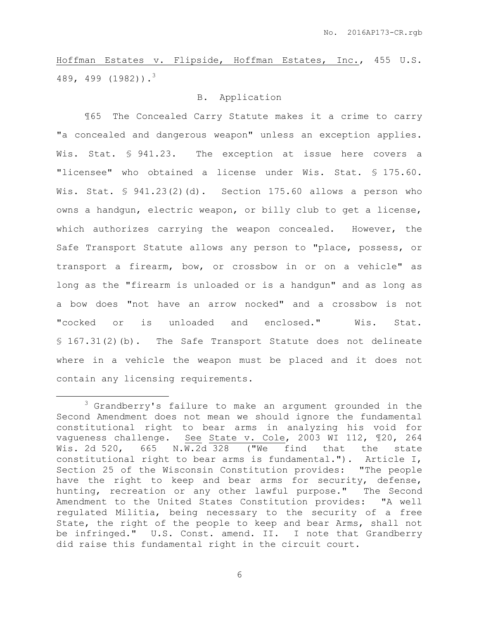Hoffman Estates v. Flipside, Hoffman Estates, Inc., 455 U.S. 489, 499 (1982)).<sup>3</sup>

# B. Application

¶65 The Concealed Carry Statute makes it a crime to carry "a concealed and dangerous weapon" unless an exception applies. Wis. Stat. § 941.23. The exception at issue here covers a "licensee" who obtained a license under Wis. Stat. § 175.60. Wis. Stat.  $\frac{6}{5}$  941.23(2)(d). Section 175.60 allows a person who owns a handgun, electric weapon, or billy club to get a license, which authorizes carrying the weapon concealed. However, the Safe Transport Statute allows any person to "place, possess, or transport a firearm, bow, or crossbow in or on a vehicle" as long as the "firearm is unloaded or is a handgun" and as long as a bow does "not have an arrow nocked" and a crossbow is not "cocked or is unloaded and enclosed." Wis. Stat. § 167.31(2)(b). The Safe Transport Statute does not delineate where in a vehicle the weapon must be placed and it does not contain any licensing requirements.

 $\overline{a}$ 

<sup>&</sup>lt;sup>3</sup> Grandberry's failure to make an argument grounded in the Second Amendment does not mean we should ignore the fundamental constitutional right to bear arms in analyzing his void for vagueness challenge. See State v. Cole, 2003 WI 112, ¶20, 264 Wis. 2d 520, 665 N.W.2d 328 ("We find that the state constitutional right to bear arms is fundamental."). Article I, Section 25 of the Wisconsin Constitution provides: "The people have the right to keep and bear arms for security, defense, hunting, recreation or any other lawful purpose." The Second Amendment to the United States Constitution provides: "A well regulated Militia, being necessary to the security of a free State, the right of the people to keep and bear Arms, shall not be infringed." U.S. Const. amend. II. I note that Grandberry did raise this fundamental right in the circuit court.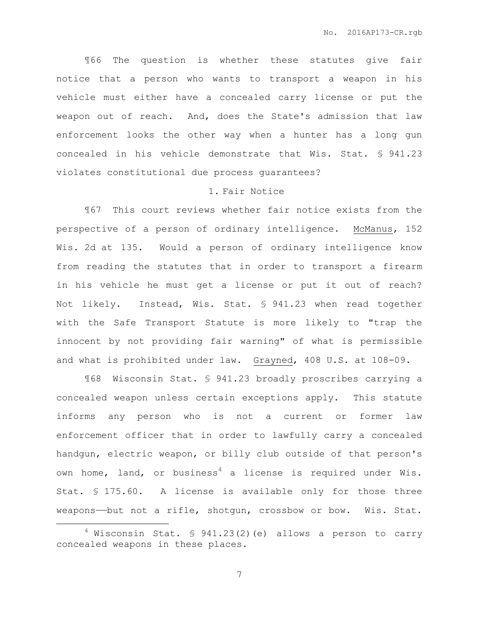¶66 The question is whether these statutes give fair notice that a person who wants to transport a weapon in his vehicle must either have a concealed carry license or put the weapon out of reach. And, does the State's admission that law enforcement looks the other way when a hunter has a long gun concealed in his vehicle demonstrate that Wis. Stat. § 941.23 violates constitutional due process guarantees?

#### 1. Fair Notice

¶67 This court reviews whether fair notice exists from the perspective of a person of ordinary intelligence. McManus, 152 Wis. 2d at 135. Would a person of ordinary intelligence know from reading the statutes that in order to transport a firearm in his vehicle he must get a license or put it out of reach? Not likely. Instead, Wis. Stat. § 941.23 when read together with the Safe Transport Statute is more likely to "trap the innocent by not providing fair warning" of what is permissible and what is prohibited under law. Grayned, 408 U.S. at 108-09.

¶68 Wisconsin Stat. § 941.23 broadly proscribes carrying a concealed weapon unless certain exceptions apply. This statute informs any person who is not a current or former law enforcement officer that in order to lawfully carry a concealed handgun, electric weapon, or billy club outside of that person's own home, land, or business<sup>4</sup> a license is required under Wis. Stat. § 175.60. A license is available only for those three weapons—but not a rifle, shotgun, crossbow or bow. Wis. Stat.

 $\overline{a}$ 

 $4$  Wisconsin Stat. § 941.23(2)(e) allows a person to carry concealed weapons in these places.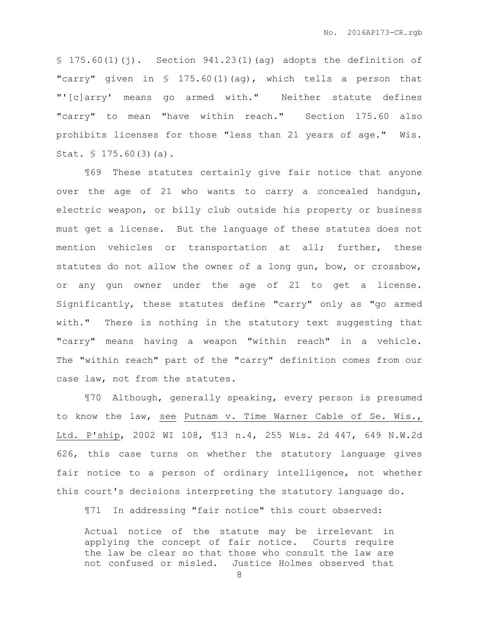$$ 175.60(1)(i)$ . Section 941.23(1)(ag) adopts the definition of "carry" given in § 175.60(1)(ag), which tells a person that "'[c]arry' means go armed with." Neither statute defines "carry" to mean "have within reach." Section 175.60 also prohibits licenses for those "less than 21 years of age." Wis. Stat. § 175.60(3)(a).

¶69 These statutes certainly give fair notice that anyone over the age of 21 who wants to carry a concealed handgun, electric weapon, or billy club outside his property or business must get a license. But the language of these statutes does not mention vehicles or transportation at all; further, these statutes do not allow the owner of a long gun, bow, or crossbow, or any gun owner under the age of 21 to get a license. Significantly, these statutes define "carry" only as "go armed with." There is nothing in the statutory text suggesting that "carry" means having a weapon "within reach" in a vehicle. The "within reach" part of the "carry" definition comes from our case law, not from the statutes.

¶70 Although, generally speaking, every person is presumed to know the law, see Putnam v. Time Warner Cable of Se. Wis., Ltd. P'ship, 2002 WI 108, ¶13 n.4, 255 Wis. 2d 447, 649 N.W.2d 626, this case turns on whether the statutory language gives fair notice to a person of ordinary intelligence, not whether this court's decisions interpreting the statutory language do.

¶71 In addressing "fair notice" this court observed:

Actual notice of the statute may be irrelevant in applying the concept of fair notice. Courts require the law be clear so that those who consult the law are not confused or misled. Justice Holmes observed that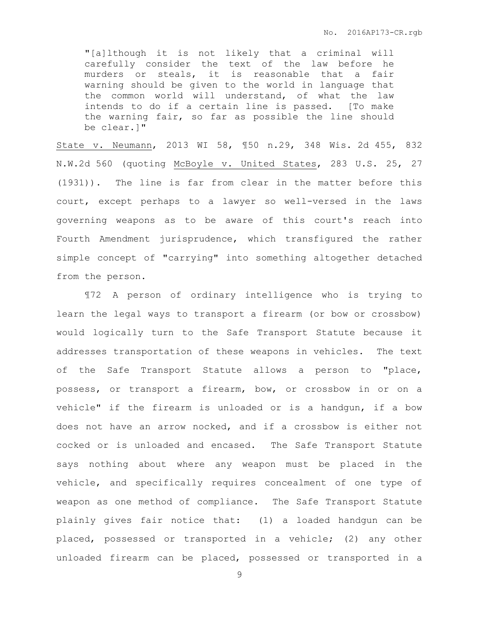"[a]lthough it is not likely that a criminal will carefully consider the text of the law before he murders or steals, it is reasonable that a fair warning should be given to the world in language that the common world will understand, of what the law intends to do if a certain line is passed. [To make the warning fair, so far as possible the line should be clear.]"

State v. Neumann, 2013 WI 58, ¶50 n.29, 348 Wis. 2d 455, 832 N.W.2d 560 (quoting McBoyle v. United States, 283 U.S. 25, 27 (1931)). The line is far from clear in the matter before this court, except perhaps to a lawyer so well-versed in the laws governing weapons as to be aware of this court's reach into Fourth Amendment jurisprudence, which transfigured the rather simple concept of "carrying" into something altogether detached from the person.

¶72 A person of ordinary intelligence who is trying to learn the legal ways to transport a firearm (or bow or crossbow) would logically turn to the Safe Transport Statute because it addresses transportation of these weapons in vehicles. The text of the Safe Transport Statute allows a person to "place, possess, or transport a firearm, bow, or crossbow in or on a vehicle" if the firearm is unloaded or is a handgun, if a bow does not have an arrow nocked, and if a crossbow is either not cocked or is unloaded and encased. The Safe Transport Statute says nothing about where any weapon must be placed in the vehicle, and specifically requires concealment of one type of weapon as one method of compliance. The Safe Transport Statute plainly gives fair notice that: (1) a loaded handgun can be placed, possessed or transported in a vehicle; (2) any other unloaded firearm can be placed, possessed or transported in a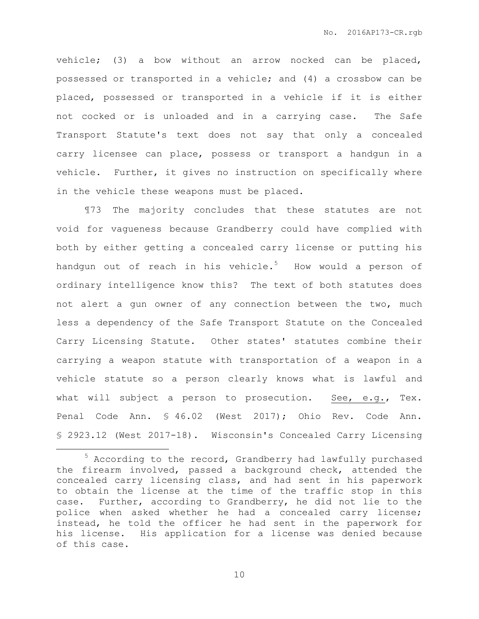vehicle; (3) a bow without an arrow nocked can be placed, possessed or transported in a vehicle; and (4) a crossbow can be placed, possessed or transported in a vehicle if it is either not cocked or is unloaded and in a carrying case. The Safe Transport Statute's text does not say that only a concealed carry licensee can place, possess or transport a handgun in a vehicle. Further, it gives no instruction on specifically where in the vehicle these weapons must be placed.

¶73 The majority concludes that these statutes are not void for vagueness because Grandberry could have complied with both by either getting a concealed carry license or putting his handgun out of reach in his vehicle.<sup>5</sup> How would a person of ordinary intelligence know this? The text of both statutes does not alert a gun owner of any connection between the two, much less a dependency of the Safe Transport Statute on the Concealed Carry Licensing Statute. Other states' statutes combine their carrying a weapon statute with transportation of a weapon in a vehicle statute so a person clearly knows what is lawful and what will subject a person to prosecution. See, e.g., Tex. Penal Code Ann. § 46.02 (West 2017); Ohio Rev. Code Ann. § 2923.12 (West 2017-18). Wisconsin's Concealed Carry Licensing

 $\overline{a}$ 

<sup>5</sup> According to the record, Grandberry had lawfully purchased the firearm involved, passed a background check, attended the concealed carry licensing class, and had sent in his paperwork to obtain the license at the time of the traffic stop in this case. Further, according to Grandberry, he did not lie to the police when asked whether he had a concealed carry license; instead, he told the officer he had sent in the paperwork for his license. His application for a license was denied because of this case.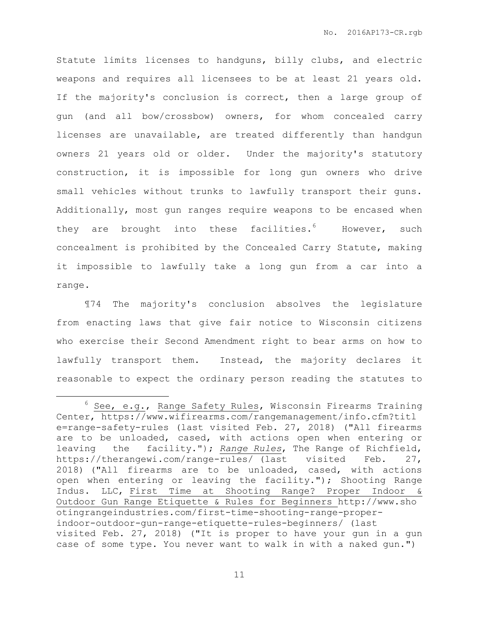Statute limits licenses to handguns, billy clubs, and electric weapons and requires all licensees to be at least 21 years old. If the majority's conclusion is correct, then a large group of gun (and all bow/crossbow) owners, for whom concealed carry licenses are unavailable, are treated differently than handgun owners 21 years old or older. Under the majority's statutory construction, it is impossible for long gun owners who drive small vehicles without trunks to lawfully transport their guns. Additionally, most gun ranges require weapons to be encased when they are brought into these facilities. $6$  However, such concealment is prohibited by the Concealed Carry Statute, making it impossible to lawfully take a long gun from a car into a range.

¶74 The majority's conclusion absolves the legislature from enacting laws that give fair notice to Wisconsin citizens who exercise their Second Amendment right to bear arms on how to lawfully transport them. Instead, the majority declares it reasonable to expect the ordinary person reading the statutes to

 $\overline{a}$ 

<sup>&</sup>lt;sup>6</sup> See, e.g., Range Safety Rules, Wisconsin Firearms Training Center, https://www.wifirearms.com/rangemanagement/info.cfm?titl e=range-safety-rules (last visited Feb. 27, 2018) ("All firearms are to be unloaded, cased, with actions open when entering or leaving the facility."); *Range Rules*, The Range of Richfield, https://therangewi.com/range-rules/ (last visited Feb. 27, 2018) ("All firearms are to be unloaded, cased, with actions open when entering or leaving the facility."); Shooting Range Indus. LLC, First Time at Shooting Range? Proper Indoor & Outdoor Gun Range Etiquette & Rules for Beginners http://www.sho otingrangeindustries.com/first-time-shooting-range-properindoor-outdoor-gun-range-etiquette-rules-beginners/ (last visited Feb. 27, 2018) ("It is proper to have your gun in a gun case of some type. You never want to walk in with a naked gun.")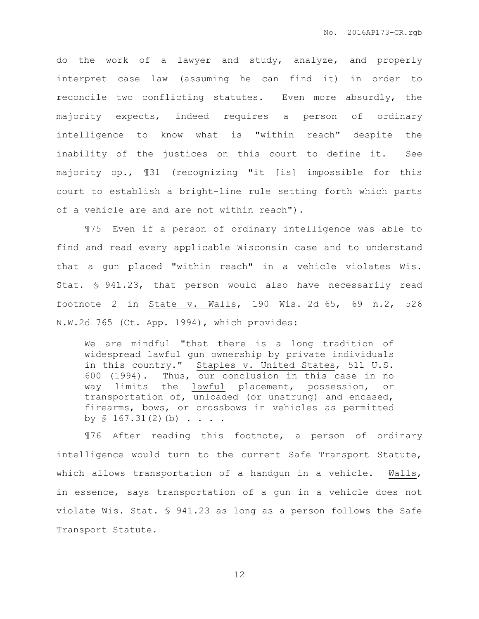do the work of a lawyer and study, analyze, and properly interpret case law (assuming he can find it) in order to reconcile two conflicting statutes. Even more absurdly, the majority expects, indeed requires a person of ordinary intelligence to know what is "within reach" despite the inability of the justices on this court to define it. See majority op., ¶31 (recognizing "it [is] impossible for this court to establish a bright-line rule setting forth which parts of a vehicle are and are not within reach").

¶75 Even if a person of ordinary intelligence was able to find and read every applicable Wisconsin case and to understand that a gun placed "within reach" in a vehicle violates Wis. Stat. § 941.23, that person would also have necessarily read footnote 2 in  $State$  v. Walls, 190 Wis. 2d 65, 69 n.2, 526 N.W.2d 765 (Ct. App. 1994), which provides:

We are mindful "that there is a long tradition of widespread lawful gun ownership by private individuals in this country." Staples v. United States, 511 U.S. 600 (1994). Thus, our conclusion in this case in no way limits the lawful placement, possession, or transportation of, unloaded (or unstrung) and encased, firearms, bows, or crossbows in vehicles as permitted by  $$167.31(2)(b) . . . .$ 

¶76 After reading this footnote, a person of ordinary intelligence would turn to the current Safe Transport Statute, which allows transportation of a handqun in a vehicle. Walls, in essence, says transportation of a gun in a vehicle does not violate Wis. Stat. § 941.23 as long as a person follows the Safe Transport Statute.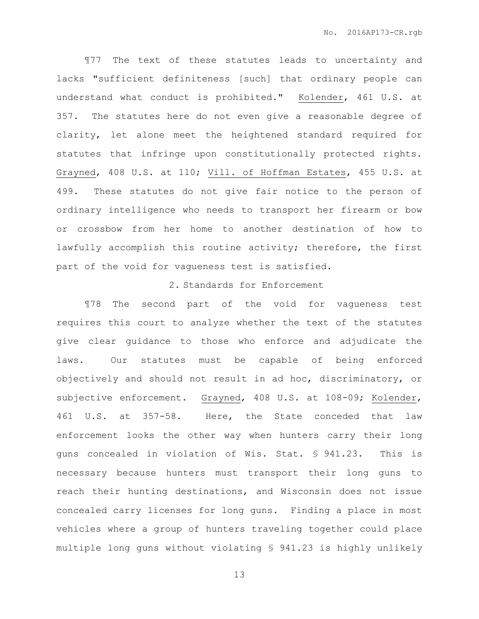¶77 The text of these statutes leads to uncertainty and lacks "sufficient definiteness [such] that ordinary people can understand what conduct is prohibited." Kolender, 461 U.S. at 357. The statutes here do not even give a reasonable degree of clarity, let alone meet the heightened standard required for statutes that infringe upon constitutionally protected rights. Grayned, 408 U.S. at 110; Vill. of Hoffman Estates, 455 U.S. at 499. These statutes do not give fair notice to the person of ordinary intelligence who needs to transport her firearm or bow or crossbow from her home to another destination of how to lawfully accomplish this routine activity; therefore, the first part of the void for vagueness test is satisfied.

# 2. Standards for Enforcement

¶78 The second part of the void for vagueness test requires this court to analyze whether the text of the statutes give clear guidance to those who enforce and adjudicate the laws. Our statutes must be capable of being enforced objectively and should not result in ad hoc, discriminatory, or subjective enforcement. Grayned, 408 U.S. at 108-09; Kolender, 461 U.S. at 357-58. Here, the State conceded that law enforcement looks the other way when hunters carry their long guns concealed in violation of Wis. Stat. § 941.23. This is necessary because hunters must transport their long guns to reach their hunting destinations, and Wisconsin does not issue concealed carry licenses for long guns. Finding a place in most vehicles where a group of hunters traveling together could place multiple long guns without violating § 941.23 is highly unlikely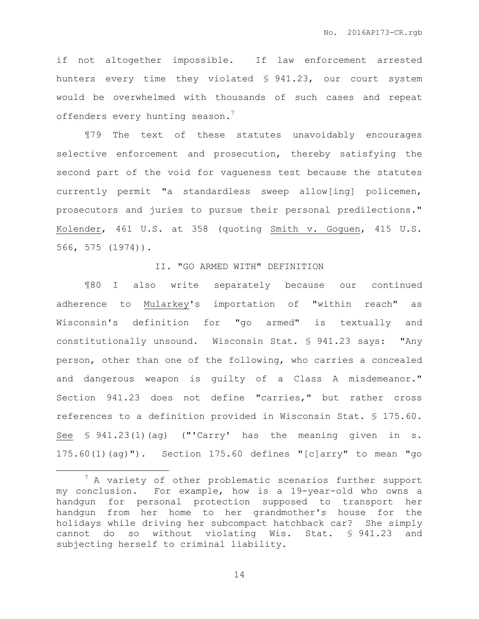if not altogether impossible. If law enforcement arrested hunters every time they violated § 941.23, our court system would be overwhelmed with thousands of such cases and repeat offenders every hunting season.<sup>7</sup>

¶79 The text of these statutes unavoidably encourages selective enforcement and prosecution, thereby satisfying the second part of the void for vagueness test because the statutes currently permit "a standardless sweep allow[ing] policemen, prosecutors and juries to pursue their personal predilections." Kolender, 461 U.S. at 358 (quoting Smith v. Goguen, 415 U.S. 566, 575 (1974)).

# II. "GO ARMED WITH" DEFINITION

¶80 I also write separately because our continued adherence to Mularkey's importation of "within reach" as Wisconsin's definition for "go armed" is textually and constitutionally unsound. Wisconsin Stat. § 941.23 says: "Any person, other than one of the following, who carries a concealed and dangerous weapon is guilty of a Class A misdemeanor." Section 941.23 does not define "carries," but rather cross references to a definition provided in Wisconsin Stat. § 175.60. See § 941.23(1)(ag) ("'Carry' has the meaning given in s. 175.60(1)(ag)"). Section 175.60 defines "[c]arry" to mean "go

 $\overline{a}$ 

 $<sup>7</sup>$  A variety of other problematic scenarios further support</sup> my conclusion. For example, how is a 19-year-old who owns a handgun for personal protection supposed to transport her handgun from her home to her grandmother's house for the holidays while driving her subcompact hatchback car? She simply cannot do so without violating Wis. Stat. § 941.23 and subjecting herself to criminal liability.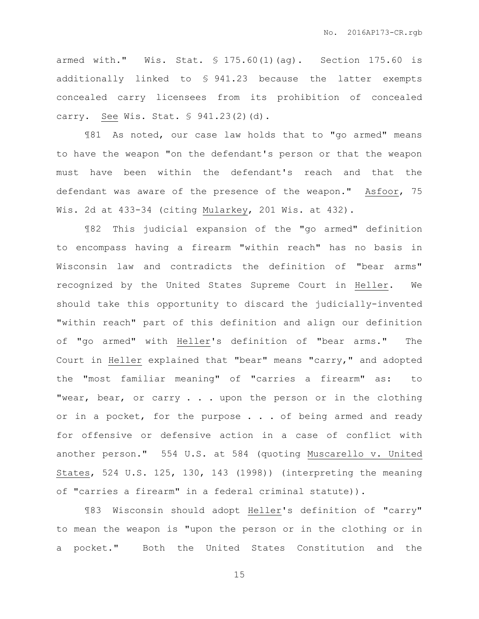armed with." Wis. Stat. § 175.60(1)(ag). Section 175.60 is additionally linked to § 941.23 because the latter exempts concealed carry licensees from its prohibition of concealed carry. See Wis. Stat. § 941.23(2)(d).

¶81 As noted, our case law holds that to "go armed" means to have the weapon "on the defendant's person or that the weapon must have been within the defendant's reach and that the defendant was aware of the presence of the weapon." Asfoor, 75 Wis. 2d at 433-34 (citing Mularkey, 201 Wis. at 432).

¶82 This judicial expansion of the "go armed" definition to encompass having a firearm "within reach" has no basis in Wisconsin law and contradicts the definition of "bear arms" recognized by the United States Supreme Court in Heller. We should take this opportunity to discard the judicially-invented "within reach" part of this definition and align our definition of "go armed" with Heller's definition of "bear arms." The Court in Heller explained that "bear" means "carry," and adopted the "most familiar meaning" of "carries a firearm" as: to "wear, bear, or carry . . . upon the person or in the clothing or in a pocket, for the purpose . . . of being armed and ready for offensive or defensive action in a case of conflict with another person." 554 U.S. at 584 (quoting Muscarello v. United States, 524 U.S. 125, 130, 143 (1998)) (interpreting the meaning of "carries a firearm" in a federal criminal statute)).

¶83 Wisconsin should adopt Heller's definition of "carry" to mean the weapon is "upon the person or in the clothing or in a pocket." Both the United States Constitution and the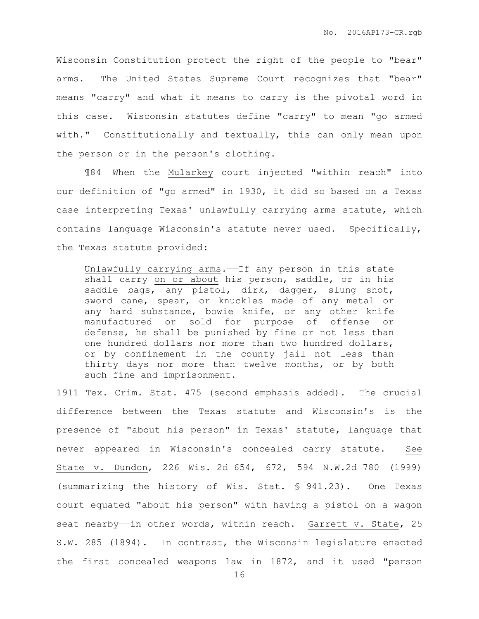Wisconsin Constitution protect the right of the people to "bear" arms. The United States Supreme Court recognizes that "bear" means "carry" and what it means to carry is the pivotal word in this case. Wisconsin statutes define "carry" to mean "go armed with." Constitutionally and textually, this can only mean upon the person or in the person's clothing.

¶84 When the Mularkey court injected "within reach" into our definition of "go armed" in 1930, it did so based on a Texas case interpreting Texas' unlawfully carrying arms statute, which contains language Wisconsin's statute never used. Specifically, the Texas statute provided:

Unlawfully carrying arms.——If any person in this state shall carry on or about his person, saddle, or in his saddle bags, any pistol, dirk, dagger, slung shot, sword cane, spear, or knuckles made of any metal or any hard substance, bowie knife, or any other knife manufactured or sold for purpose of offense or defense, he shall be punished by fine or not less than one hundred dollars nor more than two hundred dollars, or by confinement in the county jail not less than thirty days nor more than twelve months, or by both such fine and imprisonment.

1911 Tex. Crim. Stat. 475 (second emphasis added). The crucial difference between the Texas statute and Wisconsin's is the presence of "about his person" in Texas' statute, language that never appeared in Wisconsin's concealed carry statute. See State v. Dundon, 226 Wis. 2d 654, 672, 594 N.W.2d 780 (1999) (summarizing the history of Wis. Stat. § 941.23). One Texas court equated "about his person" with having a pistol on a wagon seat nearby—in other words, within reach. Garrett v. State, 25 S.W. 285 (1894). In contrast, the Wisconsin legislature enacted the first concealed weapons law in 1872, and it used "person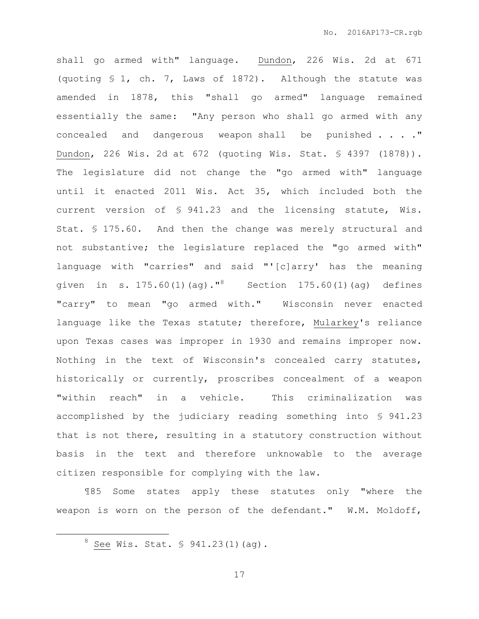shall go armed with" language. Dundon, 226 Wis. 2d at 671 (quoting § 1, ch. 7, Laws of 1872). Although the statute was amended in 1878, this "shall go armed" language remained essentially the same: "Any person who shall go armed with any concealed and dangerous weapon shall be punished . . . ." Dundon, 226 Wis. 2d at 672 (quoting Wis. Stat. § 4397 (1878)). The legislature did not change the "go armed with" language until it enacted 2011 Wis. Act 35, which included both the current version of § 941.23 and the licensing statute, Wis. Stat. § 175.60. And then the change was merely structural and not substantive; the legislature replaced the "go armed with" language with "carries" and said "'[c]arry' has the meaning given in s. 175.60(1)(ag)."<sup>8</sup> Section 175.60(1)(ag) defines "carry" to mean "go armed with." Wisconsin never enacted language like the Texas statute; therefore, Mularkey's reliance upon Texas cases was improper in 1930 and remains improper now. Nothing in the text of Wisconsin's concealed carry statutes, historically or currently, proscribes concealment of a weapon "within reach" in a vehicle. This criminalization was accomplished by the judiciary reading something into § 941.23 that is not there, resulting in a statutory construction without basis in the text and therefore unknowable to the average citizen responsible for complying with the law.

¶85 Some states apply these statutes only "where the weapon is worn on the person of the defendant." W.M. Moldoff,

 $\overline{a}$ 

<sup>8</sup> See Wis. Stat. § 941.23(1)(ag).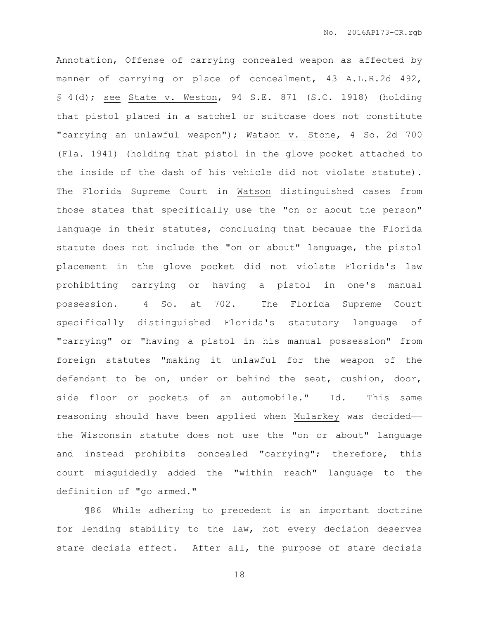Annotation, Offense of carrying concealed weapon as affected by manner of carrying or place of concealment, 43 A.L.R.2d 492, § 4(d); see State v. Weston, 94 S.E. 871 (S.C. 1918) (holding that pistol placed in a satchel or suitcase does not constitute "carrying an unlawful weapon"); Watson v. Stone, 4 So. 2d 700 (Fla. 1941) (holding that pistol in the glove pocket attached to the inside of the dash of his vehicle did not violate statute). The Florida Supreme Court in Watson distinguished cases from those states that specifically use the "on or about the person" language in their statutes, concluding that because the Florida statute does not include the "on or about" language, the pistol placement in the glove pocket did not violate Florida's law prohibiting carrying or having a pistol in one's manual possession. 4 So. at 702. The Florida Supreme Court specifically distinguished Florida's statutory language of "carrying" or "having a pistol in his manual possession" from foreign statutes "making it unlawful for the weapon of the defendant to be on, under or behind the seat, cushion, door, side floor or pockets of an automobile." Id. This same reasoning should have been applied when Mularkey was decided— the Wisconsin statute does not use the "on or about" language and instead prohibits concealed "carrying"; therefore, this court misguidedly added the "within reach" language to the definition of "go armed."

¶86 While adhering to precedent is an important doctrine for lending stability to the law, not every decision deserves stare decisis effect. After all, the purpose of stare decisis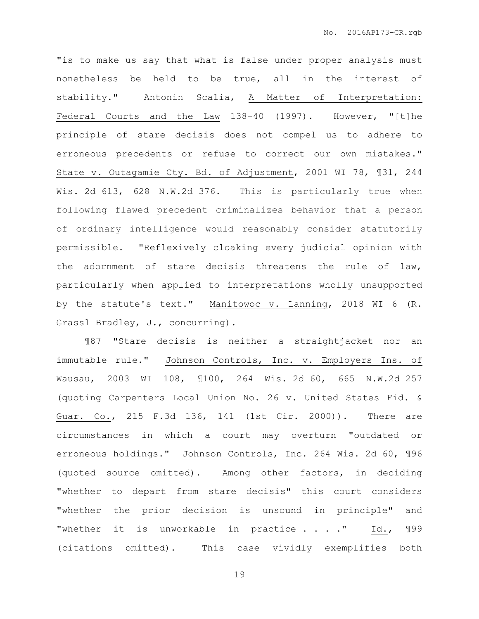"is to make us say that what is false under proper analysis must nonetheless be held to be true, all in the interest of stability." Antonin Scalia, A Matter of Interpretation: Federal Courts and the Law 138-40 (1997). However, "[t]he principle of stare decisis does not compel us to adhere to erroneous precedents or refuse to correct our own mistakes." State v. Outagamie Cty. Bd. of Adjustment, 2001 WI 78, ¶31, 244 Wis. 2d 613, 628 N.W.2d 376. This is particularly true when following flawed precedent criminalizes behavior that a person of ordinary intelligence would reasonably consider statutorily permissible. "Reflexively cloaking every judicial opinion with the adornment of stare decisis threatens the rule of law, particularly when applied to interpretations wholly unsupported by the statute's text." Manitowoc v. Lanning, 2018 WI 6 (R. Grassl Bradley, J., concurring).

¶87 "Stare decisis is neither a straightjacket nor an immutable rule." Johnson Controls, Inc. v. Employers Ins. of Wausau, 2003 WI 108, ¶100, 264 Wis. 2d 60, 665 N.W.2d 257 (quoting Carpenters Local Union No. 26 v. United States Fid. & Guar. Co., 215 F.3d 136, 141 (1st Cir. 2000)). There are circumstances in which a court may overturn "outdated or erroneous holdings." Johnson Controls, Inc. 264 Wis. 2d 60, ¶96 (quoted source omitted). Among other factors, in deciding "whether to depart from stare decisis" this court considers "whether the prior decision is unsound in principle" and "whether it is unworkable in practice . . . ." Id., ¶99 (citations omitted). This case vividly exemplifies both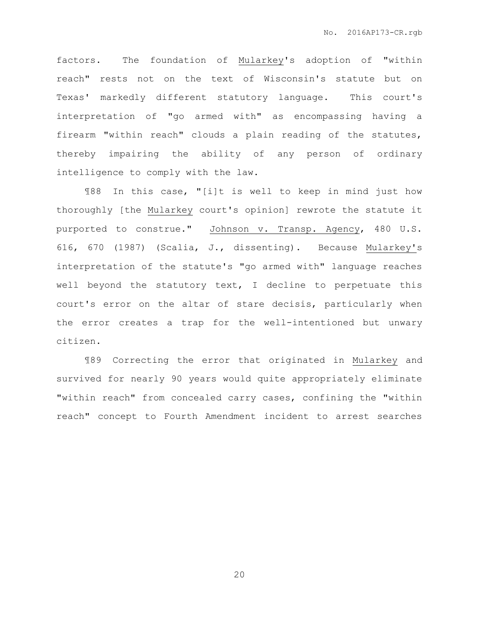factors. The foundation of Mularkey's adoption of "within reach" rests not on the text of Wisconsin's statute but on Texas' markedly different statutory language. This court's interpretation of "go armed with" as encompassing having a firearm "within reach" clouds a plain reading of the statutes, thereby impairing the ability of any person of ordinary intelligence to comply with the law.

¶88 In this case, "[i]t is well to keep in mind just how thoroughly [the Mularkey court's opinion] rewrote the statute it purported to construe." Johnson v. Transp. Agency, 480 U.S. 616, 670 (1987) (Scalia, J., dissenting). Because Mularkey's interpretation of the statute's "go armed with" language reaches well beyond the statutory text, I decline to perpetuate this court's error on the altar of stare decisis, particularly when the error creates a trap for the well-intentioned but unwary citizen.

¶89 Correcting the error that originated in Mularkey and survived for nearly 90 years would quite appropriately eliminate "within reach" from concealed carry cases, confining the "within reach" concept to Fourth Amendment incident to arrest searches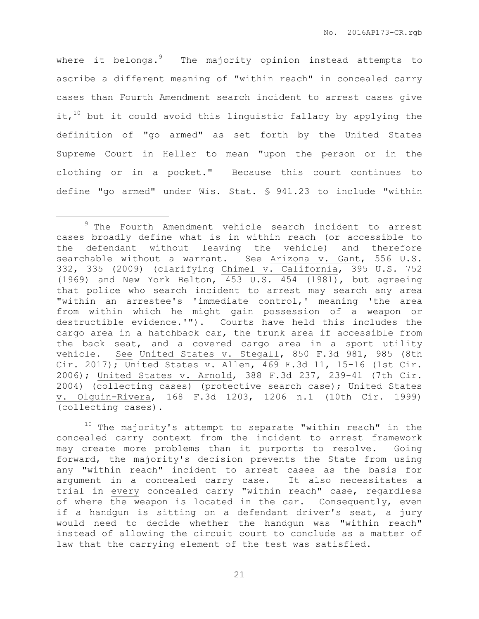where it belongs. $9$  The majority opinion instead attempts to ascribe a different meaning of "within reach" in concealed carry cases than Fourth Amendment search incident to arrest cases give it, $10$  but it could avoid this linguistic fallacy by applying the definition of "go armed" as set forth by the United States Supreme Court in Heller to mean "upon the person or in the clothing or in a pocket." Because this court continues to define "go armed" under Wis. Stat. § 941.23 to include "within

 $\overline{a}$ 

 $10$  The majority's attempt to separate "within reach" in the concealed carry context from the incident to arrest framework may create more problems than it purports to resolve. Going forward, the majority's decision prevents the State from using any "within reach" incident to arrest cases as the basis for argument in a concealed carry case. It also necessitates a trial in every concealed carry "within reach" case, regardless of where the weapon is located in the car. Consequently, even if a handgun is sitting on a defendant driver's seat, a jury would need to decide whether the handgun was "within reach" instead of allowing the circuit court to conclude as a matter of law that the carrying element of the test was satisfied.

<sup>&</sup>lt;sup>9</sup> The Fourth Amendment vehicle search incident to arrest cases broadly define what is in within reach (or accessible to the defendant without leaving the vehicle) and therefore searchable without a warrant. See Arizona v. Gant, 556 U.S. 332, 335 (2009) (clarifying Chimel v. California, 395 U.S. 752 (1969) and New York Belton, 453 U.S. 454 (1981), but agreeing that police who search incident to arrest may search any area "within an arrestee's 'immediate control,' meaning 'the area from within which he might gain possession of a weapon or destructible evidence.'"). Courts have held this includes the cargo area in a hatchback car, the trunk area if accessible from the back seat, and a covered cargo area in a sport utility vehicle. See United States v. Stegall, 850 F.3d 981, 985 (8th Cir. 2017); United States v. Allen, 469 F.3d 11, 15-16 (1st Cir. 2006); United States v. Arnold, 388 F.3d 237, 239-41 (7th Cir. 2004) (collecting cases) (protective search case); United States v. Olguin-Rivera, 168 F.3d 1203, 1206 n.1 (10th Cir. 1999) (collecting cases).